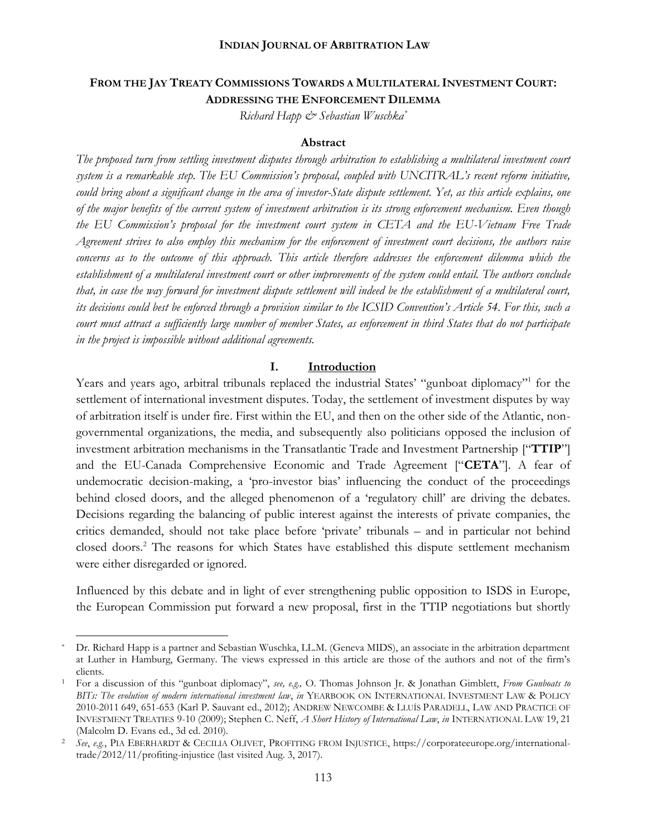## **FROM THE JAY TREATY COMMISSIONS TOWARDS A MULTILATERAL INVESTMENT COURT: ADDRESSING THE ENFORCEMENT DILEMMA**

*Richard Happ & Sebastian Wuschka\**

#### **Abstract**

*The proposed turn from settling investment disputes through arbitration to establishing a multilateral investment court system is a remarkable step. The EU Commission's proposal, coupled with UNCITRAL's recent reform initiative, could bring about a significant change in the area of investor-State dispute settlement. Yet, as this article explains, one of the major benefits of the current system of investment arbitration is its strong enforcement mechanism. Even though the EU Commission's proposal for the investment court system in CETA and the EU-Vietnam Free Trade Agreement strives to also employ this mechanism for the enforcement of investment court decisions, the authors raise concerns as to the outcome of this approach. This article therefore addresses the enforcement dilemma which the establishment of a multilateral investment court or other improvements of the system could entail. The authors conclude that, in case the way forward for investment dispute settlement will indeed be the establishment of a multilateral court, its decisions could best be enforced through a provision similar to the ICSID Convention's Article 54. For this, such a court must attract a sufficiently large number of member States, as enforcement in third States that do not participate in the project is impossible without additional agreements.*

#### **I. Introduction**

Years and years ago, arbitral tribunals replaced the industrial States' "gunboat diplomacy"<sup>1</sup> for the settlement of international investment disputes. Today, the settlement of investment disputes by way of arbitration itself is under fire. First within the EU, and then on the other side of the Atlantic, non governmental organizations, the media, and subsequently also politicians opposed the inclusion of investment arbitration mechanisms in the Transatlantic Trade and Investment Partnership ["**TTIP**"] and the EU-Canada Comprehensive Economic and Trade Agreement ["**CETA**"]. A fear of undemocratic decision-making, a 'pro-investor bias' influencing the conduct of the proceedings behind closed doors, and the alleged phenomenon of a 'regulatory chill' are driving the debates. Decisions regarding the balancing of public interest against the interests of private companies, the critics demanded, should not take place before 'private' tribunals – and in particular not behind closed doors.<sup>2</sup> The reasons for which States have established this dispute settlement mechanism were either disregarded or ignored.

Influenced by this debate and in light of ever strengthening public opposition to ISDS in Europe, the European Commission put forward a new proposal, first in the TTIP negotiations but shortly

Dr. Richard Happ is a partner and Sebastian Wuschka, LL.M. (Geneva MIDS), an associate in the arbitration department at Luther in Hamburg, Germany. The views expressed in this article are those of the authors and not of the firm's clients.

<sup>1</sup> For a discussion of this "gunboat diplomacy", *see, e.g.,* O. Thomas Johnson Jr. & Jonathan Gimblett, *From Gunboats to BITs: The evolution of modern international investment law*, *in* YEARBOOK ON INTERNATIONAL INVESTMENT LAW & POLICY 2010-2011 649,651-653 (Karl P. Sauvant ed., 2012); ANDREW NEWCOMBE & LLUÍSPARADELL, LAW AND PRACTICE OF INVESTMENT TREATIES 9-10 (2009); Stephen C. Neff, *A Short History of International Law*, *in* INTERNATIONAL LAW 19, 21 (Malcolm D. Evans ed., 3d ed. 2010).

<sup>2</sup> *See*, *e.g.*, PIA EBERHARDT & CECILIA OLIVET, PROFITING FROM INJUSTICE, https://corporateeurope.org/internationaltrade/2012/11/profiting-injustice (last visited Aug. 3, 2017).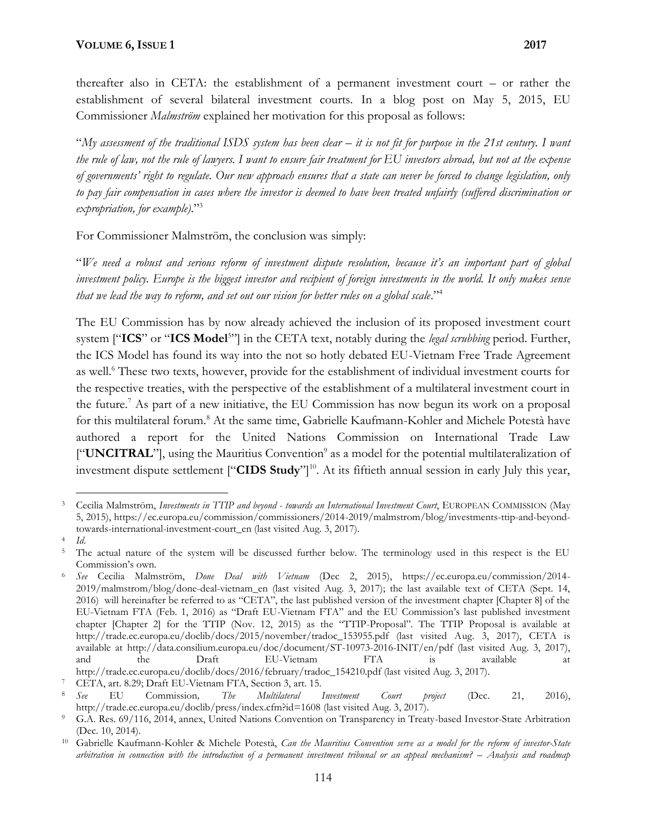thereafter also in CETA: the establishment of a permanent investment court – or rather the establishment of several bilateral investment courts. In a blog post on May 5, 2015, EU Commissioner *Malmström* explained her motivation for this proposal as follows:

"*My assessment of the traditional ISDS system has been clear – it is not fit for purpose in the 21st century. I want the rule of law, not the rule of lawyers. I want to ensure fair treatment for EU investors abroad, but not at the expense of governments' right to regulate. Our new approach ensures that a state can never be forced to change legislation, only to pay fair compensation in cases where the investor is deemed to have been treated unfairly (suffered discrimination or expropriation, for example)*."<sup>3</sup>

For Commissioner Malmström, the conclusion was simply:

"*We need a robust and serious reform of investment dispute resolution, because it's an important part of global investment policy. Europe is the biggest investor and recipient of foreign investments in the world. It only makes sense that we lead the way to reform, and set out our vision for better rules on a global scale*."<sup>4</sup>

The EU Commission has by now already achieved the inclusion of its proposed investment court system ["**ICS**" or "**ICS Model**<sup>5</sup>"] in the CETA text, notably during the *legal scrubbing* period. Further, the ICS Model has found its way into the not so hotly debated EU-Vietnam Free Trade Agreement as well.<sup>6</sup> These two texts, however, provide for the establishment of individual investment courts for the respective treaties, with the perspective of the establishment of a multilateral investment court in the future.<sup>7</sup> As part of a new initiative, the EU Commission has now begun its work on a proposal for this multilateral forum.<sup>8</sup> At the same time, Gabrielle Kaufmann-Kohler and Michele Potestà have authored a report for the United Nations Commission on International Trade Law ["**UNCITRAL**"], using the Mauritius Convention<sup>9</sup> as a model for the potential multilateralization of investment dispute settlement ["**CIDS Study**"]<sup>10</sup>. At its fiftieth annual session in early July this year,

<sup>3</sup> Cecilia Malmström, *Investments in TTIP and beyond - towards an International Investment Court*, EUROPEAN COMMISSION (May 5, 2015), https://ec.europa.eu/commission/commissioners/2014-2019/malmstrom/blog/investments-ttip-and-beyondtowards-international-investment-court\_en (last visited Aug. 3, 2017).

<sup>4</sup> *Id*.

<sup>&</sup>lt;sup>5</sup> The actual nature of the system will be discussed further below. The terminology used in this respect is the EU Commission's own.

<sup>6</sup> *See* Cecilia Malmström, *Done Deal with Vietnam* (Dec 2, 2015), https://ec.europa.eu/commission/2014- 2019/malmstrom/blog/done-deal-vietnam\_en (last visited Aug. 3, 2017); the last available text of CETA (Sept. 14, 2016) will hereinafter be referred to as "CETA", the last published version of the investment chapter [Chapter 8] of the EU-Vietnam FTA (Feb. 1, 2016) as "Draft EU-Vietnam FTA" and the EU Commission's last published investment chapter [Chapter 2] for the TTIP (Nov. 12, 2015) as the "TTIP-Proposal". The TTIP Proposal is available at http://trade.ec.europa.eu/doclib/docs/2015/november/tradoc\_153955.pdf (last visited Aug. 3, 2017), CETA is available at http://data.consilium.europa.eu/doc/document/ST-10973-2016-INIT/en/pdf (last visited Aug. 3, 2017), and the Draft EU-Vietnam FTA is available at http://trade.ec.europa.eu/doclib/docs/2016/february/tradoc\_154210.pdf (last visited Aug. 3, 2017).

<sup>7</sup> CETA, art. 8.29; Draft EU-Vietnam FTA, Section 3, art. 15.

<sup>8</sup> *See* EU Commission*, The Multilateral Investment Court project* (Dec. 21, 2016), http://trade.ec.europa.eu/doclib/press/index.cfm?id=1608 (last visited Aug. 3, 2017).

<sup>9</sup> G.A. Res. 69/116, 2014, annex, United Nations Convention on Transparency in Treaty-based Investor-State Arbitration (Dec. 10, 2014).

<sup>10</sup> Gabrielle Kaufmann-Kohler & Michele Potestà, *Can the Mauritius Convention serve as a model for the reform of investor-State arbitration in connection with the introduction of a permanent investment tribunal or an appeal mechanism? – Analysis and roadmap*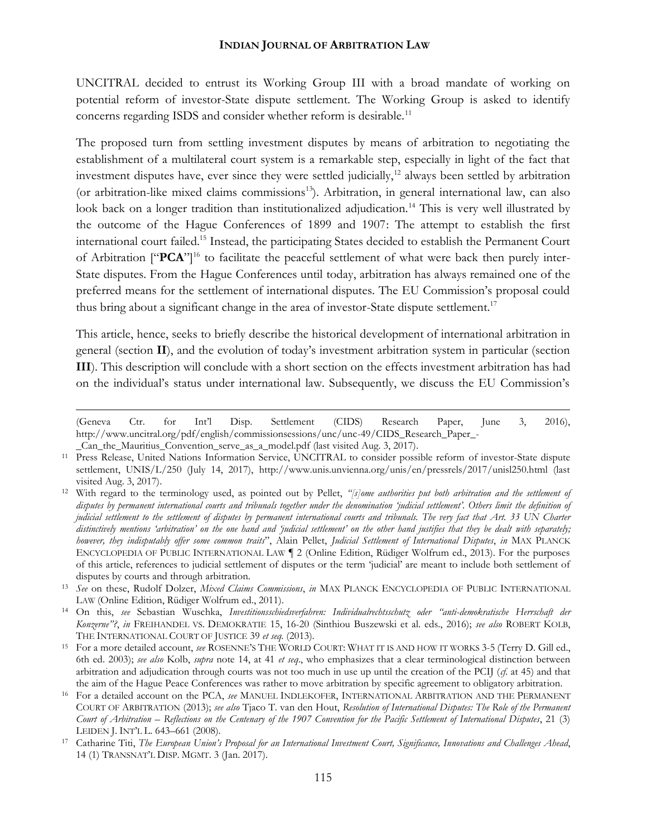UNCITRAL decided to entrust its Working Group III with a broad mandate of working on potential reform of investor-State dispute settlement. The Working Group is asked to identify concerns regarding ISDS and consider whether reform is desirable.<sup>11</sup>

The proposed turn from settling investment disputes by means of arbitration to negotiating the establishment of a multilateral court system is a remarkable step, especially in light of the fact that investment disputes have, ever since they were settled judicially,<sup>12</sup> always been settled by arbitration (or arbitration-like mixed claims commissions<sup>13</sup>). Arbitration, in general international law, can also look back on a longer tradition than institutionalized adjudication.<sup>14</sup> This is very well illustrated by the outcome of the Hague Conferences of 1899 and 1907: The attempt to establish the first international court failed.<sup>15</sup> Instead, the participating States decided to establish the Permanent Court of Arbitration ["PCA"]<sup>16</sup> to facilitate the peaceful settlement of what were back then purely inter-State disputes. From the Hague Conferences until today, arbitration has always remained one of the preferred means for the settlement of international disputes. The EU Commission's proposal could thus bring about a significant change in the area of investor-State dispute settlement.<sup>17</sup>

This article, hence, seeks to briefly describe the historical development of international arbitration in general (section **II**), and the evolution of today's investment arbitration system in particular (section **III**). This description will conclude with a short section on the effects investment arbitration has had on the individual's status under international law. Subsequently, we discuss the EU Commission's

<sup>(</sup>Geneva Ctr. for Int'l Disp. Settlement (CIDS) Research Paper, June 3, 2016), http://www.uncitral.org/pdf/english/commissionsessions/unc/unc-49/CIDS\_Research\_Paper\_- \_Can\_the\_Mauritius\_Convention\_serve\_as\_a\_model.pdf (last visited Aug. 3, 2017).

<sup>11</sup> Press Release, United Nations Information Service, UNCITRAL to consider possible reform of investor-State dispute settlement, UNIS/L/250 (July 14, 2017), http://www.unis.unvienna.org/unis/en/pressrels/2017/unisl250.html (last visited Aug. 3, 2017).

<sup>12</sup> With regard to the terminology used, as pointed out by Pellet, *"[s]ome authorities put both arbitration and the settlement of disputes by permanent international courts and tribunals together under the denomination 'judicial settlement'. Others limit the definition of judicial settlement to the settlement of disputes by permanent international courts and tribunals. The very fact that Art. 33 UN Charter distinctively mentions 'arbitration' on the one hand and 'judicial settlement' on the other hand justifies that they be dealt with separately; however, they indisputably offer some common traits*", Alain Pellet, *Judicial Settlement of International Disputes*, *in* MAX PLANCK ENCYCLOPEDIA OF PUBLIC INTERNATIONAL LAW ¶ 2 (Online Edition, Rüdiger Wolfrum ed., 2013). For the purposes of this article, references to judicial settlement of disputes or the term 'judicial' are meant to include both settlement of disputes by courts and through arbitration.

<sup>13</sup> *See* on these, Rudolf Dolzer, *Mixed Claims Commissions*, *in* MAX PLANCK ENCYCLOPEDIA OF PUBLIC INTERNATIONAL LAW (Online Edition, Rüdiger Wolfrum ed., 2011).

<sup>14</sup> On this, *see* Sebastian Wuschka, *Investitionsschiedsverfahren: Individualrechtsschutz oder "anti-demokratische Herrschaft der Konzerne"?*, *in* FREIHANDEL VS. DEMOKRATIE 15, 16-20 (Sinthiou Buszewski et al. eds., 2016); *see also* ROBERT KOLB, THE INTERNATIONAL COURT OF JUSTICE 39 *et seq.* (2013).

<sup>15</sup> For a more detailed account, *see* ROSENNE'S THE WORLD COURT: WHAT IT IS AND HOW IT WORKS 3-5 (Terry D. Gill ed., 6th ed. 2003); *see also* Kolb, *supra* note 14, at 41 *et seq*., who emphasizes that a clear terminological distinction between arbitration and adjudication through courts was not too much in use up until the creation of the PCIJ (*cf.* at 45) and that the aim of the Hague Peace Conferences was rather to move arbitration by specific agreement to obligatory arbitration.

<sup>16</sup> For a detailed account on the PCA, *see* MANUEL INDLEKOFER, INTERNATIONAL ARBITRATION AND THE PERMANENT COURT OF ARBITRATION (2013);*see also* Tjaco T. van den Hout, *Resolution of International Disputes: The Role of the Permanent Court of Arbitration – Reflections on the Centenary of the 1907 Convention for the Pacific Settlement of International Disputes*, 21 (3) LEIDEN J. INT'L L. 643–661 (2008).

<sup>17</sup> Catharine Titi, *The European Union's Proposal for an International Investment Court, Significance, Innovations and Challenges Ahead*, 14 (1) TRANSNAT'L DISP. MGMT. 3 (Jan. 2017).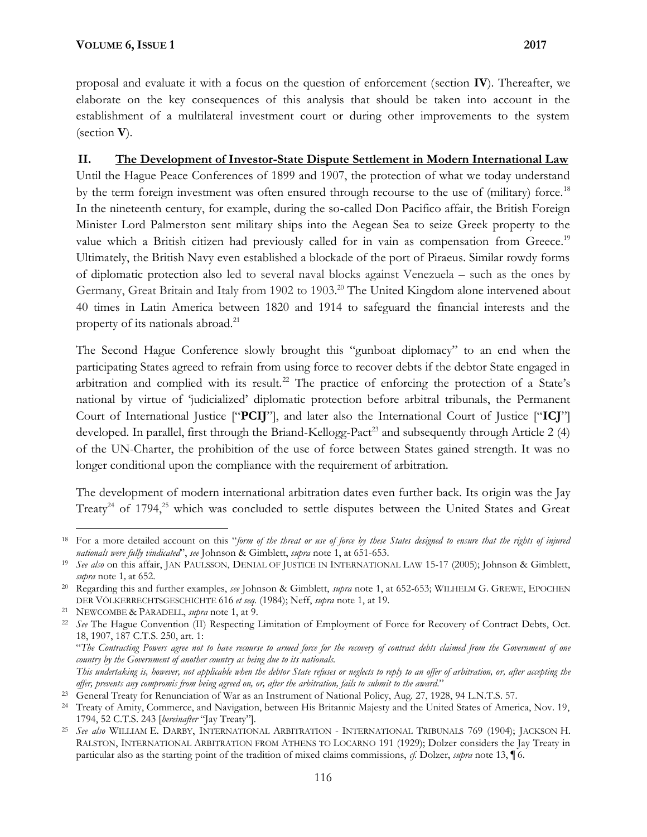proposal and evaluate it with a focus on the question of enforcement (section **IV**). Thereafter, we elaborate on the key consequences of this analysis that should be taken into account in the establishment of a multilateral investment court or during other improvements to the system (section **V**).

# **II. The Development of Investor-State Dispute Settlement in Modern International Law**

Until the Hague Peace Conferences of 1899 and 1907, the protection of what we today understand by the term foreign investment was often ensured through recourse to the use of (military) force.<sup>18</sup> In the nineteenth century, for example, during the so-called Don Pacifico affair, the British Foreign Minister Lord Palmerston sent military ships into the Aegean Sea to seize Greek property to the value which a British citizen had previously called for in vain as compensation from Greece.<sup>19</sup> Ultimately, the British Navy even established a blockade of the port of Piraeus. Similar rowdy forms of diplomatic protection also led to several naval blocks against Venezuela – such as the ones by Germany, Great Britain and Italy from 1902 to 1903.<sup>20</sup> The United Kingdom alone intervened about 40 times in Latin America between 1820 and 1914 to safeguard the financial interests and the property of its nationals abroad.<sup>21</sup>

The Second Hague Conference slowly brought this "gunboat diplomacy" to an end when the participating States agreed to refrain from using force to recover debts if the debtor State engaged in arbitration and complied with its result.<sup>22</sup> The practice of enforcing the protection of a State's national by virtue of 'judicialized' diplomatic protection before arbitral tribunals, the Permanent Court of International Justice ["**PCIJ**"], and later also the International Court of Justice ["**ICJ**"] developed. In parallel, first through the Briand-Kellogg-Pact<sup>23</sup> and subsequently through Article 2 (4) of the UN-Charter, the prohibition of the use of force between States gained strength. It was no longer conditional upon the compliance with the requirement of arbitration.

The development of modern international arbitration dates even further back. Its origin was the Jay Treaty<sup>24</sup> of 1794,<sup>25</sup> which was concluded to settle disputes between the United States and Great

"*The Contracting Powers agree not to have recourse to armed force for the recovery of contract debts claimed from the Government of one country by the Government of another country as being due to its nationals.*

*This undertaking is, however, not applicable when the debtor State refuses or neglects to reply to an offer of arbitration, or, after accepting the offer, prevents any compromis from being agreed on, or, after the arbitration, fails to submit to the award*."

<sup>18</sup> For a more detailed account on this "*form of the threat or use of force by these States designed to ensure that the rights of injured nationals were fully vindicated*", *see* Johnson & Gimblett, *supra* note 1, at 651-653.

<sup>19</sup> *See also* on this affair, JAN PAULSSON, DENIAL OF JUSTICE IN INTERNATIONAL LAW 15-17 (2005); Johnson & Gimblett, *supra* note 1*,* at 652.

<sup>20</sup> Regarding this and further examples, *see* Johnson & Gimblett, *supra* note 1, at 652-653; WILHELM G. GREWE, EPOCHEN DER VÖLKERRECHTSGESCHICHTE 616 *et seq.* (1984); Neff, *supra* note 1, at 19.

<sup>21</sup> NEWCOMBE & PARADELL, *supra* note 1, at 9.

<sup>22</sup> *See* The Hague Convention (II) Respecting Limitation of Employment of Force for Recovery of Contract Debts, Oct. 18, 1907, 187 C.T.S. 250, art. 1:

<sup>&</sup>lt;sup>23</sup> General Treaty for Renunciation of War as an Instrument of National Policy, Aug. 27, 1928, 94 L.N.T.S. 57.

<sup>&</sup>lt;sup>24</sup> Treaty of Amity, Commerce, and Navigation, between His Britannic Majesty and the United States of America, Nov. 19, 1794, 52 C.T.S. 243 [*hereinafter* "Jay Treaty"].

<sup>25</sup> *See also* WILLIAM E. DARBY, INTERNATIONAL ARBITRATION - INTERNATIONAL TRIBUNALS 769 (1904); JACKSON H. RALSTON, INTERNATIONAL ARBITRATION FROM ATHENS TO LOCARNO 191 (1929); Dolzer considers the Jay Treaty in particular also as the starting point of the tradition of mixed claims commissions, *cf.* Dolzer, *supra* note 13, ¶ 6.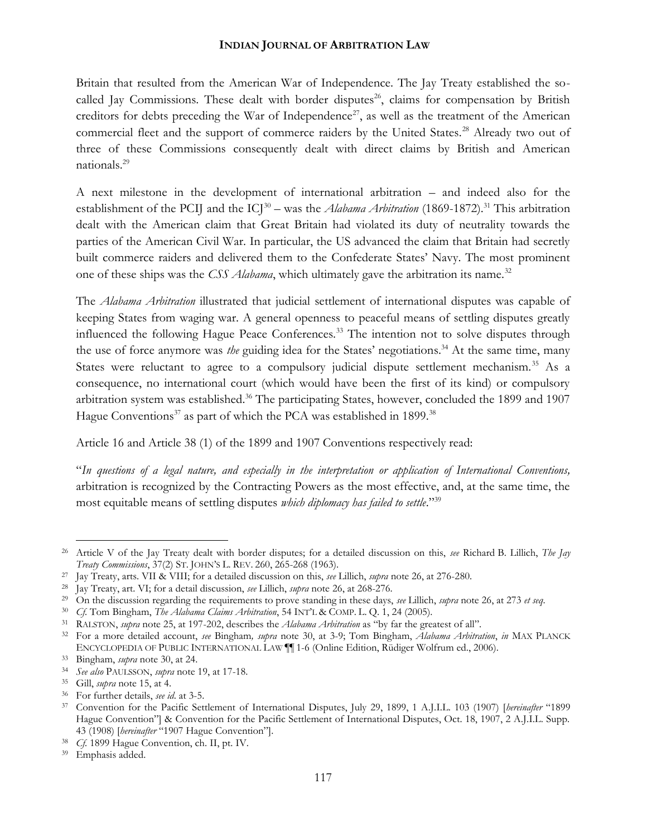Britain that resulted from the American War of Independence. The Jay Treaty established the so called Jay Commissions. These dealt with border disputes<sup>26</sup>, claims for compensation by British creditors for debts preceding the War of Independence<sup>27</sup>, as well as the treatment of the American commercial fleet and the support of commerce raiders by the United States.<sup>28</sup> Already two out of three of these Commissions consequently dealt with direct claims by British and American nationals.<sup>29</sup>

A next milestone in the development of international arbitration – and indeed also for the establishment of the PCIJ and the  $ICJ^{30}$  – was the *Alabama Arbitration* (1869-1872).<sup>31</sup> This arbitration dealt with the American claim that Great Britain had violated its duty of neutrality towards the parties of the American Civil War. In particular, the US advanced the claim that Britain had secretly built commerce raiders and delivered them to the Confederate States' Navy. The most prominent one of these ships was the *CSS Alabama*, which ultimately gave the arbitration its name.<sup>32</sup>

The *Alabama Arbitration* illustrated that judicial settlement of international disputes was capable of keeping States from waging war. A general openness to peaceful means of settling disputes greatly influenced the following Hague Peace Conferences.<sup>33</sup> The intention not to solve disputes through the use of force anymore was *the* guiding idea for the States' negotiations.<sup>34</sup> At the same time, many States were reluctant to agree to a compulsory judicial dispute settlement mechanism.<sup>35</sup> As a consequence, no international court (which would have been the first of its kind) or compulsory arbitration system was established.<sup>36</sup> The participating States, however, concluded the 1899 and 1907 Hague Conventions<sup>37</sup> as part of which the PCA was established in 1899.<sup>38</sup>

Article 16 and Article 38 (1) of the 1899 and 1907 Conventions respectively read:

"*In questions of a legal nature, and especially in the interpretation or application of International Conventions,* arbitration is recognized by the Contracting Powers as the most effective, and, at the same time, the most equitable means of settling disputes *which diplomacy has failed to settle*."<sup>39</sup>

<sup>26</sup> Article V of the Jay Treaty dealt with border disputes; for a detailed discussion on this, *see* Richard B. Lillich, *The Jay Treaty Commissions*, 37(2) ST. JOHN'S L. REV. 260, 265-268 (1963).

<sup>27</sup> Jay Treaty, arts. VII & VIII; for a detailed discussion on this, *see* Lillich, *supra* note 26, at 276-280.

<sup>28</sup> Jay Treaty, art. VI; for a detail discussion, *see* Lillich, *supra* note 26, at 268-276.

<sup>29</sup> On the discussion regarding the requirements to prove standing in these days, *see* Lillich, *supra* note 26, at 273 *et seq*.

<sup>30</sup> *Cf.* Tom Bingham, *The Alabama Claims Arbitration*, 54 INT'L & COMP. L. Q. 1, 24 (2005).

<sup>31</sup> RALSTON, *supra* note 25, at 197-202, describes the *Alabama Arbitration* as "by far the greatest of all".

<sup>32</sup> For a more detailed account, *see* Bingham*, supra* note 30, at 3-9; Tom Bingham, *Alabama Arbitration*, *in* MAX PLANCK ENCYCLOPEDIA OF PUBLIC INTERNATIONAL LAW ¶¶ 1-6 (Online Edition, Rüdiger Wolfrum ed., 2006).

<sup>33</sup> Bingham, *supra* note 30, at 24.

<sup>34</sup> *See also* PAULSSON, *supra* note 19, at 17-18.

<sup>35</sup> Gill, *supra* note 15, at 4.

<sup>36</sup> For further details, *see id*. at 3-5.

<sup>37</sup> Convention for the Pacific Settlement of International Disputes, July 29, 1899, 1 A.J.I.L. 103 (1907) [*hereinafter* "1899 Hague Convention"] & Convention for the Pacific Settlement of International Disputes, Oct. 18, 1907, 2 A.J.I.L. Supp. 43 (1908) [*hereinafter* "1907 Hague Convention"].

<sup>38</sup> *Cf.* 1899 Hague Convention, ch. II, pt. IV.

<sup>39</sup> Emphasis added.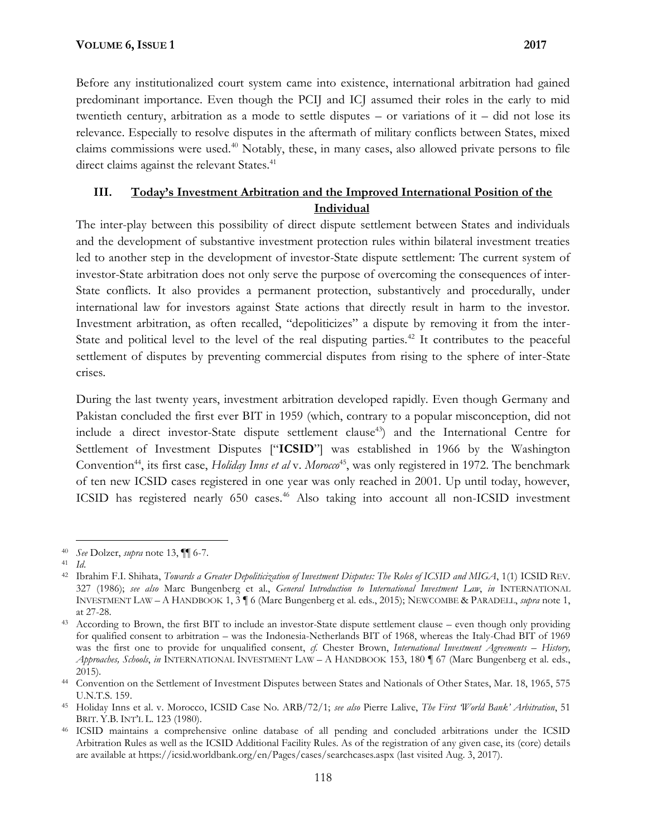Before any institutionalized court system came into existence, international arbitration had gained predominant importance. Even though the PCIJ and ICJ assumed their roles in the early to mid twentieth century, arbitration as a mode to settle disputes  $-$  or variations of it  $-$  did not lose its relevance. Especially to resolve disputes in the aftermath of military conflicts between States, mixed claims commissions were used.<sup>40</sup> Notably, these, in many cases, also allowed private persons to file direct claims against the relevant States.<sup>41</sup>

# **III. Today's Investment Arbitration and the Improved International Position of the Individual**

The inter-play between this possibility of direct dispute settlement between States and individuals and the development of substantive investment protection rules within bilateral investment treaties led to another step in the development of investor-State dispute settlement: The current system of investor-State arbitration does not only serve the purpose of overcoming the consequences of inter- State conflicts. It also provides a permanent protection, substantively and procedurally, under international law for investors against State actions that directly result in harm to the investor. Investment arbitration, as often recalled, "depoliticizes" a dispute by removing it from the inter- State and political level to the level of the real disputing parties.<sup>42</sup> It contributes to the peaceful settlement of disputes by preventing commercial disputes from rising to the sphere of inter-State crises.

During the last twenty years, investment arbitration developed rapidly. Even though Germany and Pakistan concluded the first ever BIT in 1959 (which, contrary to a popular misconception, did not include a direct investor-State dispute settlement clause<sup>43</sup>) and the International Centre for Settlement of Investment Disputes ["**ICSID**"] was established in 1966 by the Washington Convention<sup>44</sup>, its first case, *Holiday Inns et al* v. *Moroco*<sup>45</sup>, was only registered in 1972. The benchmark of ten new ICSID cases registered in one year was only reached in 2001. Up until today, however, ICSID has registered nearly 650 cases.<sup>46</sup> Also taking into account all non-ICSID investment

<sup>40</sup> *See* Dolzer, *supra* note 13, ¶¶ 6-7.

<sup>41</sup> *Id*.

<sup>42</sup> Ibrahim F.I. Shihata, *Towards a Greater Depoliticization of Investment Disputes: The Roles of ICSID and MIGA*, 1(1) ICSID REV. 327 (1986); *see also* Marc Bungenberg et al., *General Introduction to International Investment Law*, *in* INTERNATIONAL INVESTMENT LAW – A HANDBOOK 1, 3 ¶ 6 (Marc Bungenberg et al. eds., 2015); NEWCOMBE & PARADELL, *supra* note 1, at 27-28.

<sup>43</sup> According to Brown, the first BIT to include an investor-State dispute settlement clause – even though only providing for qualified consent to arbitration – was the Indonesia-Netherlands BIT of 1968, whereas the Italy-Chad BIT of 1969 was the first one to provide for unqualified consent, *cf.* Chester Brown, *International Investment Agreements – History, Approaches, Schools*, *in* INTERNATIONAL INVESTMENT LAW – A HANDBOOK 153, 180 ¶ 67 (Marc Bungenberg et al. eds., 2015).

<sup>44</sup> Convention on the Settlement of Investment Disputes between States and Nationals of Other States, Mar. 18, 1965, 575 U.N.T.S. 159.

<sup>45</sup> Holiday Inns et al. v. Morocco, ICSID Case No. ARB/72/1; *see also* Pierre Lalive, *The First 'World Bank' Arbitration*, 51 BRIT. Y.B. INT'L L. 123 (1980).

<sup>46</sup> ICSID maintains a comprehensive online database of all pending and concluded arbitrations under the ICSID Arbitration Rules as well as the ICSID Additional Facility Rules. As of the registration of any given case, its (core) details are available at https://icsid.worldbank.org/en/Pages/cases/searchcases.aspx (last visited Aug. 3, 2017).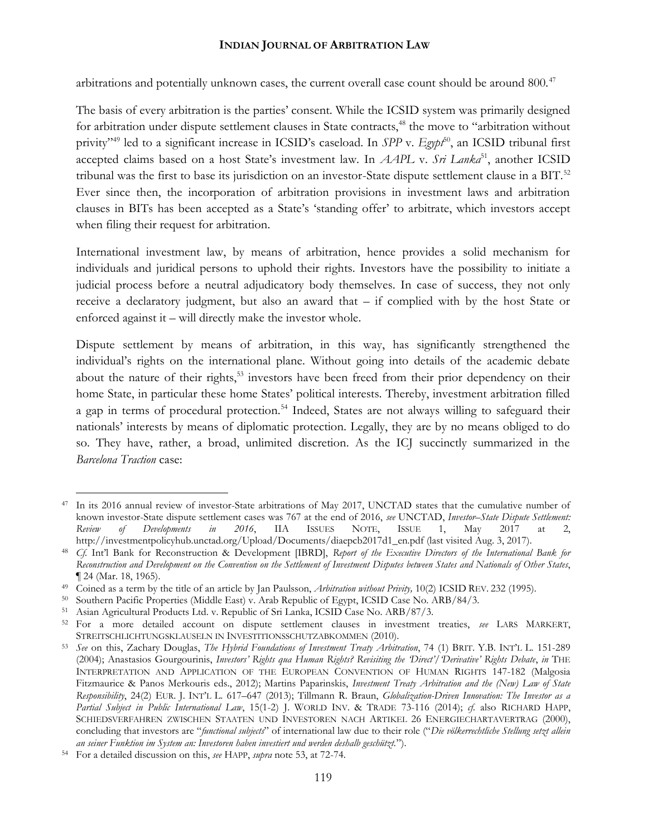arbitrations and potentially unknown cases, the current overall case count should be around 800.<sup>47</sup>

The basis of every arbitration is the parties' consent. While the ICSID system was primarily designed for arbitration under dispute settlement clauses in State contracts,<sup>48</sup> the move to "arbitration without privity"<sup>49</sup> led to a significant increase in ICSID's caseload. In *SPP* v. *Egypt*<sup>50</sup>, an ICSID tribunal first accepted claims based on a host State's investment law. In *AAPL* v. Sri Lanka<sup>51</sup>, another ICSID tribunal was the first to base its jurisdiction on an investor-State dispute settlement clause in a BIT.<sup>52</sup> Ever since then, the incorporation of arbitration provisions in investment laws and arbitration clauses in BITs has been accepted as a State's 'standing offer' to arbitrate, which investors accept when filing their request for arbitration.

International investment law, by means of arbitration, hence provides a solid mechanism for individuals and juridical persons to uphold their rights. Investors have the possibility to initiate a judicial process before a neutral adjudicatory body themselves. In case of success, they not only receive a declaratory judgment, but also an award that – if complied with by the host State or enforced against it – will directly make the investor whole.

Dispute settlement by means of arbitration, in this way, has significantly strengthened the individual's rights on the international plane. Without going into details of the academic debate about the nature of their rights,<sup>53</sup> investors have been freed from their prior dependency on their home State, in particular these home States' political interests. Thereby, investment arbitration filled a gap in terms of procedural protection.<sup>54</sup> Indeed, States are not always willing to safeguard their nationals' interests by means of diplomatic protection. Legally, they are by no means obliged to do so. They have, rather, a broad, unlimited discretion. As the ICJ succinctly summarized in the *Barcelona Traction* case:

<sup>&</sup>lt;sup>47</sup> In its 2016 annual review of investor-State arbitrations of May 2017, UNCTAD states that the cumulative number of known investor-State dispute settlement cases was 767 at the end of 2016, *see* UNCTAD, *Investor–State Dispute Settlement: Review of Developments in 2016*, IIA ISSUES NOTE, ISSUE 1, May 2017 at 2, http://investmentpolicyhub.unctad.org/Upload/Documents/diaepcb2017d1\_en.pdf (last visited Aug. 3, 2017).

<sup>48</sup> *Cf.* Int'l Bank for Reconstruction & Development [IBRD], *Report of the Executive Directors of the International Bank for Reconstruction and Development on the Convention on the Settlement of Investment Disputes between States and Nationals of Other States*, ¶ 24 (Mar. 18, 1965).

<sup>49</sup> Coined as a term by the title of an article by Jan Paulsson, *Arbitration without Privity,* 10(2) ICSID REV. 232 (1995).

<sup>50</sup> Southern Pacific Properties (Middle East) v. Arab Republic of Egypt, ICSID Case No. ARB/84/3.

<sup>51</sup> Asian Agricultural Products Ltd. v. Republic of Sri Lanka, ICSID Case No. ARB/87/3.

<sup>52</sup> For a more detailed account on dispute settlement clauses in investment treaties, *see* LARS MARKERT, STREITSCHLICHTUNGSKLAUSELN IN INVESTITIONSSCHUTZABKOMMEN (2010).

<sup>53</sup> *See* on this, Zachary Douglas, *The Hybrid Foundations of Investment Treaty Arbitration*, 74 (1) BRIT. Y.B. INT'L L. 151-289 (2004); Anastasios Gourgourinis, *Investors' Rights qua Human Rights? Revisiting the 'Direct'/'Derivative' Rights Debate*, *in* THE INTERPRETATION AND APPLICATION OF THE EUROPEAN CONVENTION OF HUMAN RIGHTS 147-182 (Malgosia Fitzmaurice & Panos Merkouris eds., 2012); Martins Paparinskis, *Investment Treaty Arbitration and the (New) Law of State Responsibility*, 24(2) EUR. J. INT'L L. 617–647 (2013); Tillmann R. Braun, *Globalization-Driven Innovation: The Investor as a Partial Subject in Public International Law*, 15(1-2) J. WORLD INV. & TRADE 73-116 (2014); *cf*. also RICHARD HAPP, SCHIEDSVERFAHREN ZWISCHEN STAATEN UND INVESTOREN NACH ARTIKEL 26 ENERGIECHARTAVERTRAG (2000), concluding that investors are "*functional subjects*" of international law due to their role ("*Die völkerrechtliche Stellung setzt allein an seiner Funktion im System an: Investoren haben investiert und werden deshalb geschützt.*").

<sup>54</sup> For a detailed discussion on this, *see* HAPP, *supra* note 53, at 72-74.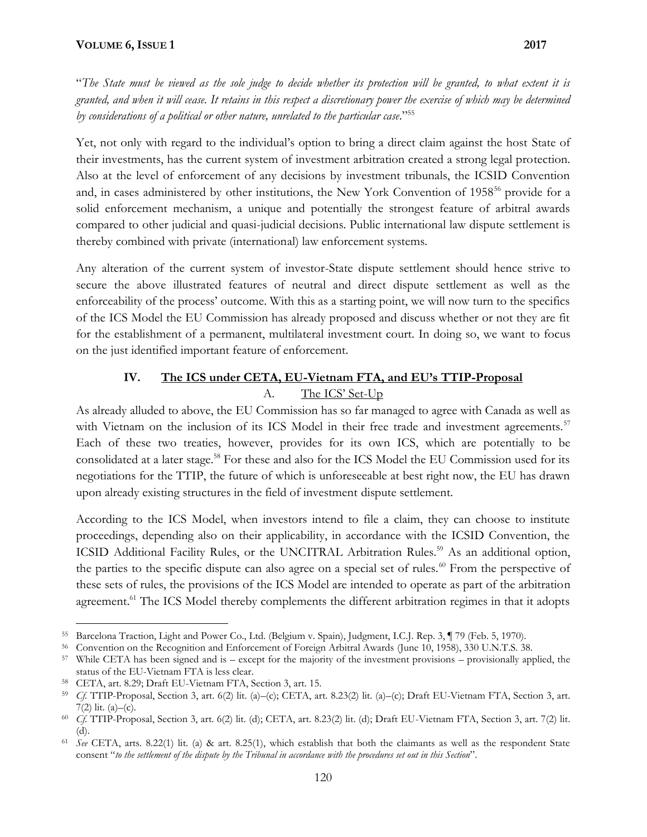#### **VOLUME 6, ISSUE 1 2017**

"*The State must be viewed as the sole judge to decide whether its protection will be granted, to what extent it is granted, and when it will cease. It retains in this respect a discretionary power the exercise of which may be determined by considerations of a political or other nature, unrelated to the particular case*."<sup>55</sup>

Yet, not only with regard to the individual's option to bring a direct claim against the host State of their investments, has the current system of investment arbitration created a strong legal protection. Also at the level of enforcement of any decisions by investment tribunals, the ICSID Convention and, in cases administered by other institutions, the New York Convention of 1958<sup>56</sup> provide for a solid enforcement mechanism, a unique and potentially the strongest feature of arbitral awards compared to other judicial and quasi-judicial decisions. Public international law dispute settlement is thereby combined with private (international) law enforcement systems.

Any alteration of the current system of investor-State dispute settlement should hence strive to secure the above illustrated features of neutral and direct dispute settlement as well as the enforceability of the process' outcome. With this as a starting point, we will now turn to the specifics of the ICS Model the EU Commission has already proposed and discuss whether or not they are fit for the establishment of a permanent, multilateral investment court. In doing so, we want to focus on the just identified important feature of enforcement.

# **IV. The ICS under CETA, EU-Vietnam FTA, and EU's TTIP-Proposal**

## A. The ICS' Set-Up

As already alluded to above, the EU Commission has so far managed to agree with Canada as well as with Vietnam on the inclusion of its ICS Model in their free trade and investment agreements.<sup>57</sup> Each of these two treaties, however, provides for its own ICS, which are potentially to be consolidated at a later stage.<sup>58</sup> For these and also for the ICS Model the EU Commission used for its negotiations for the TTIP, the future of which is unforeseeable at best right now, the EU has drawn upon already existing structures in the field of investment dispute settlement.

According to the ICS Model, when investors intend to file a claim, they can choose to institute proceedings, depending also on their applicability, in accordance with the ICSID Convention, the ICSID Additional Facility Rules, or the UNCITRAL Arbitration Rules.<sup>59</sup> As an additional option, the parties to the specific dispute can also agree on a special set of rules.<sup>60</sup> From the perspective of these sets of rules, the provisions of the ICS Model are intended to operate as part of the arbitration agreement.<sup>61</sup> The ICS Model thereby complements the different arbitration regimes in that it adopts

<sup>55</sup> Barcelona Traction, Light and Power Co., Ltd. (Belgium v. Spain), Judgment, I.C.J. Rep. 3, ¶ 79 (Feb. 5, 1970).

<sup>56</sup> Convention on the Recognition and Enforcement of Foreign Arbitral Awards (June 10, 1958), 330 U.N.T.S. 38.

<sup>57</sup> While CETA has been signed and is – except for the majority of the investment provisions – provisionally applied, the status of the EU-Vietnam FTA is less clear.

<sup>58</sup> CETA, art. 8.29; Draft EU-Vietnam FTA, Section 3, art. 15.

<sup>59</sup> *Cf.* TTIP-Proposal, Section 3, art. 6(2) lit. (a)–(c); CETA, art. 8.23(2) lit. (a)–(c); Draft EU-Vietnam FTA, Section 3, art.  $7(2)$  lit. (a)–(c).

<sup>60</sup> *Cf.* TTIP-Proposal, Section 3, art. 6(2) lit. (d); CETA, art. 8.23(2) lit. (d); Draft EU-Vietnam FTA, Section 3, art. 7(2) lit. (d).

<sup>61</sup> *See* CETA, arts. 8.22(1) lit. (a) & art. 8.25(1), which establish that both the claimants as well as the respondent State consent "*to the settlement of the dispute by the Tribunal in accordance with the procedures set out in this Section*".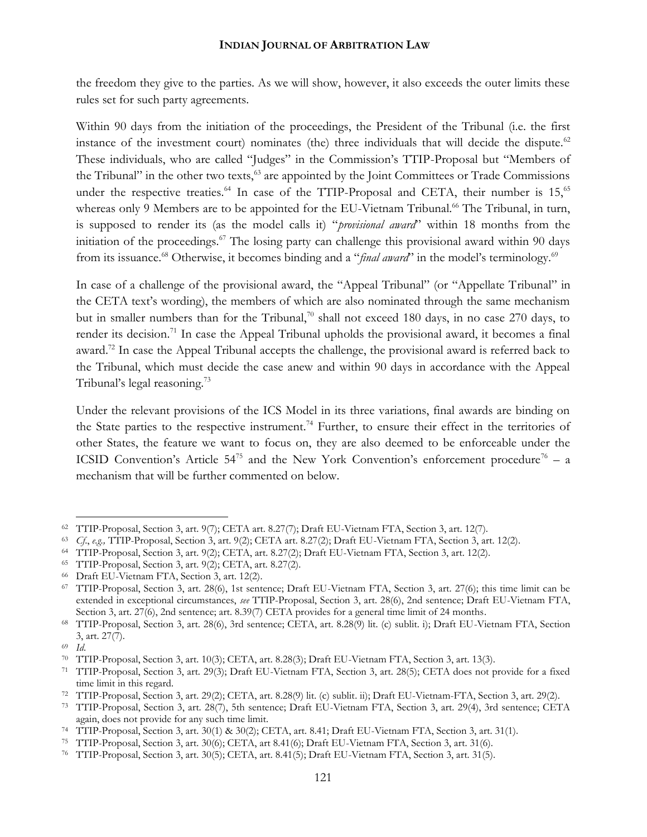the freedom they give to the parties. As we will show, however, it also exceeds the outer limits these rules set for such party agreements.

Within 90 days from the initiation of the proceedings, the President of the Tribunal (i.e. the first instance of the investment court) nominates (the) three individuals that will decide the dispute.<sup>62</sup> These individuals, who are called "Judges" in the Commission's TTIP-Proposal but "Members of the Tribunal" in the other two texts,<sup>63</sup> are appointed by the Joint Committees or Trade Commissions under the respective treaties.<sup>64</sup> In case of the TTIP-Proposal and CETA, their number is  $15$ ,<sup>65</sup> whereas only 9 Members are to be appointed for the EU-Vietnam Tribunal.<sup>66</sup> The Tribunal, in turn, is supposed to render its (as the model calls it) "*provisional award*" within 18 months from the initiation of the proceedings.<sup>67</sup> The losing party can challenge this provisional award within 90 days from its issuance.<sup>68</sup> Otherwise, it becomes binding and a "*final award*" in the model's terminology.<sup>69</sup>

In case of a challenge of the provisional award, the "Appeal Tribunal" (or "Appellate Tribunal" in the CETA text's wording), the members of which are also nominated through the same mechanism but in smaller numbers than for the Tribunal,<sup>70</sup> shall not exceed 180 days, in no case 270 days, to render its decision.<sup>71</sup> In case the Appeal Tribunal upholds the provisional award, it becomes a final award.<sup>72</sup> In case the Appeal Tribunal accepts the challenge, the provisional award is referred back to the Tribunal, which must decide the case anew and within 90 days in accordance with the Appeal Tribunal's legal reasoning.<sup>73</sup>

Under the relevant provisions of the ICS Model in its three variations, final awards are binding on the State parties to the respective instrument.<sup>74</sup> Further, to ensure their effect in the territories of other States, the feature we want to focus on, they are also deemed to be enforceable under the ICSID Convention's Article  $54^{75}$  and the New York Convention's enforcement procedure<sup>76</sup> – a mechanism that will be further commented on below.

<sup>62</sup> TTIP-Proposal, Section 3, art. 9(7); CETA art. 8.27(7); Draft EU-Vietnam FTA, Section 3, art. 12(7).

<sup>63</sup> *Cf*., *e.g.,* TTIP-Proposal, Section 3, art. 9(2); CETA art. 8.27(2); Draft EU-Vietnam FTA, Section 3, art. 12(2).

<sup>64</sup> TTIP-Proposal, Section 3, art. 9(2); CETA, art. 8.27(2); Draft EU-Vietnam FTA, Section 3, art. 12(2).

<sup>65</sup> TTIP-Proposal, Section 3, art. 9(2); CETA, art. 8.27(2).

<sup>66</sup> Draft EU-Vietnam FTA, Section 3, art. 12(2).

<sup>67</sup> TTIP-Proposal, Section 3, art. 28(6), 1st sentence; Draft EU-Vietnam FTA, Section 3, art. 27(6); this time limit can be extended in exceptional circumstances, *see* TTIP-Proposal, Section 3, art. 28(6), 2nd sentence; Draft EU-Vietnam FTA, Section 3, art. 27(6), 2nd sentence; art. 8.39(7) CETA provides for a general time limit of 24 months.

<sup>68</sup> TTIP-Proposal, Section 3, art. 28(6), 3rd sentence; CETA, art. 8.28(9) lit. (c) sublit. i); Draft EU-Vietnam FTA, Section 3, art. 27(7).

<sup>69</sup> *Id*.

<sup>70</sup> TTIP-Proposal, Section 3, art. 10(3); CETA, art. 8.28(3); Draft EU-Vietnam FTA, Section 3, art. 13(3).

<sup>71</sup> TTIP-Proposal, Section 3, art. 29(3); Draft EU-Vietnam FTA, Section 3, art. 28(5); CETA does not provide for a fixed time limit in this regard.

<sup>72</sup> TTIP-Proposal, Section 3, art. 29(2); CETA, art. 8.28(9) lit. (c) sublit. ii); Draft EU-Vietnam-FTA, Section 3, art. 29(2).

<sup>73</sup> TTIP-Proposal, Section 3, art. 28(7), 5th sentence; Draft EU-Vietnam FTA, Section 3, art. 29(4), 3rd sentence; CETA again, does not provide for any such time limit.

<sup>74</sup> TTIP-Proposal, Section 3, art. 30(1) & 30(2); CETA, art. 8.41; Draft EU-Vietnam FTA, Section 3, art. 31(1).

<sup>75</sup> TTIP-Proposal, Section 3, art. 30(6); CETA, art 8.41(6); Draft EU-Vietnam FTA, Section 3, art. 31(6).

<sup>76</sup> TTIP-Proposal, Section 3, art. 30(5); CETA, art. 8.41(5); Draft EU-Vietnam FTA, Section 3, art. 31(5).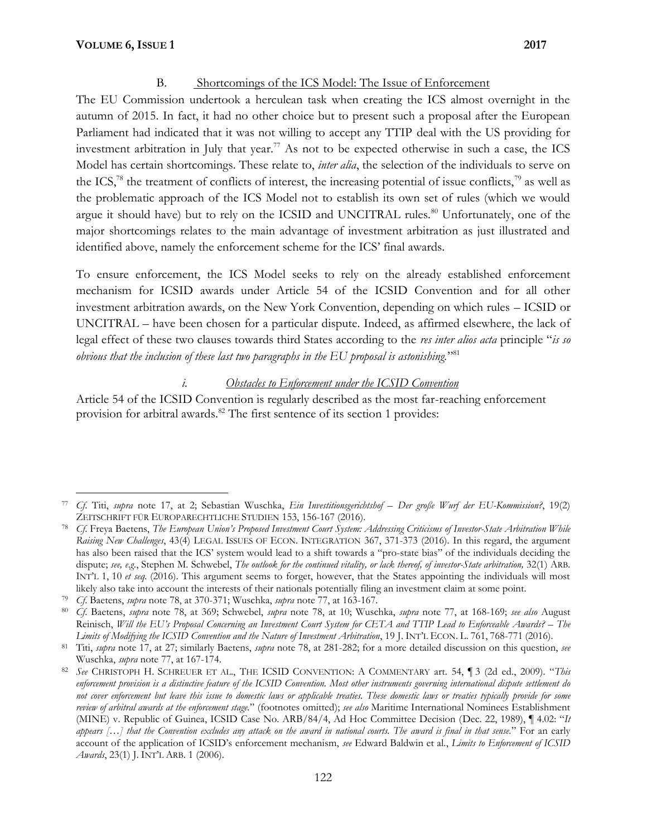## B. Shortcomings of the ICS Model: The Issue of Enforcement

The EU Commission undertook a herculean task when creating the ICS almost overnight in the autumn of 2015. In fact, it had no other choice but to present such a proposal after the European Parliament had indicated that it was not willing to accept any TTIP deal with the US providing for investment arbitration in July that year.<sup>77</sup> As not to be expected otherwise in such a case, the ICS Model has certain shortcomings. These relate to, *inter alia*, the selection of the individuals to serve on the ICS,<sup>78</sup> the treatment of conflicts of interest, the increasing potential of issue conflicts,<sup>79</sup> as well as the problematic approach of the ICS Model not to establish its own set of rules (which we would argue it should have) but to rely on the ICSID and UNCITRAL rules.<sup>80</sup> Unfortunately, one of the major shortcomings relates to the main advantage of investment arbitration as just illustrated and identified above, namely the enforcement scheme for the ICS' final awards.

To ensure enforcement, the ICS Model seeks to rely on the already established enforcement mechanism for ICSID awards under Article 54 of the ICSID Convention and for all other investment arbitration awards, on the New York Convention, depending on which rules – ICSID or UNCITRAL – have been chosen for a particular dispute. Indeed, as affirmed elsewhere, the lack of legal effect of these two clauses towards third States according to the *res inter alios acta* principle "*is so obvious that the inclusion of these last two paragraphs in the EU proposal is astonishing.*" 81

## *i. Obstacles to Enforcement under the ICSID Convention*

Article 54 of the ICSID Convention is regularly described as the most far-reaching enforcement provision for arbitral awards.<sup>82</sup> The first sentence of its section 1 provides:

<sup>77</sup> *Cf*. Titi, *supra* note 17, at 2; Sebastian Wuschka, *Ein Investitionsgerichtshof – Der große Wurf der EU-Kommission?*, 19(2) ZEITSCHRIFT FÜR EUROPARECHTLICHE STUDIEN 153, 156-167 (2016).

<sup>78</sup> *Cf*. Freya Baetens, *The European Union's Proposed Investment Court System: Addressing Criticisms of Investor-State Arbitration While Raising New Challenges*, 43(4) LEGAL ISSUES OF ECON. INTEGRATION 367, 371-373 (2016). In this regard, the argument has also been raised that the ICS' system would lead to a shift towards a "pro-state bias" of the individuals deciding the dispute; *see, e*.*g*., Stephen M. Schwebel, *The outlook for the continued vitality, or lack thereof, of investor-State arbitration,* 32(1) ARB. INT'L 1, 10 *et seq.* (2016). This argument seems to forget, however, that the States appointing the individuals will most likely also take into account the interests of their nationals potentially filing an investment claim at some point.

<sup>79</sup> *Cf*. Baetens, *supra* note 78, at 370-371; Wuschka, *supra* note 77, at 163-167.

<sup>80</sup> *Cf*. Baetens, *supra* note 78, at 369; Schwebel, *supra* note 78, at 10; Wuschka, *supra* note 77, at 168-169; *see also* August Reinisch, *Will the EU's Proposal Concerning an Investment Court System for CETA and TTIP Lead to Enforceable Awards? – The Limits of Modifying the ICSID Convention and the Nature of Investment Arbitration*, 19 J. INT'L ECON. L. 761, 768-771 (2016).

<sup>81</sup> Titi, *supra* note 17, at 27; similarly Baetens, *supra* note 78, at 281-282; for a more detailed discussion on this question, *see* Wuschka, *supra* note 77, at 167-174.

<sup>82</sup> *See* CHRISTOPH H. SCHREUER ET AL., THE ICSID CONVENTION: A COMMENTARY art. 54, ¶ 3 (2d ed., 2009). "*This enforcement provision is a distinctive feature of the ICSID Convention. Most other instruments governing international dispute settlement do not cover enforcement but leave this issue to domestic laws or applicable treaties. These domestic laws or treaties typically provide for some review of arbitral awards at the enforcement stage.*" (footnotes omitted); *see also* Maritime International Nominees Establishment (MINE) v. Republic of Guinea, ICSID Case No. ARB/84/4, Ad Hoc Committee Decision (Dec. 22, 1989), ¶ 4.02: "*It appears […] that the Convention excludes any attack on the award in national courts. The award is final in that sense.*" For an early account of the application of ICSID's enforcement mechanism, *see* Edward Baldwin et al., *Limits to Enforcement of ICSID Awards*, 23(1) J. INT'L ARB. 1 (2006).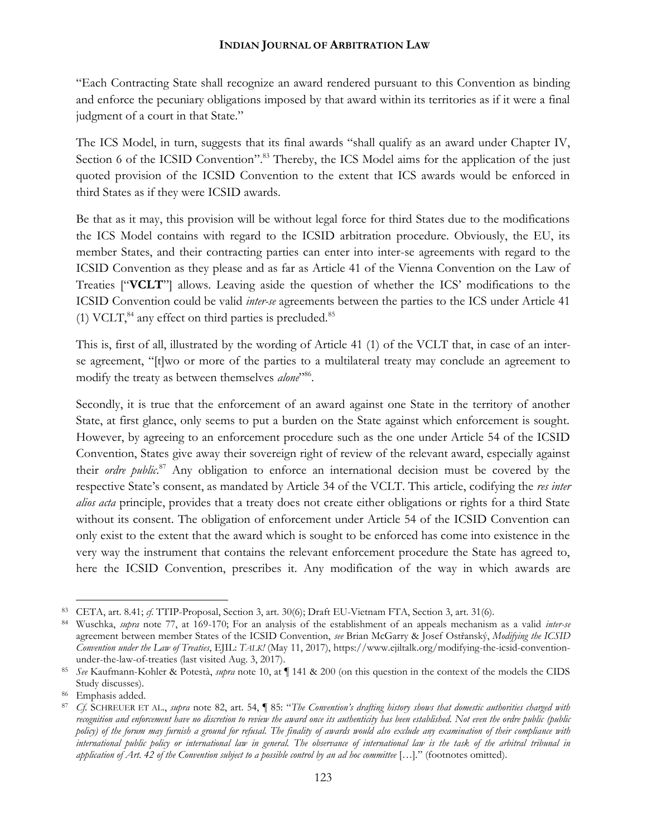"Each Contracting State shall recognize an award rendered pursuant to this Convention as binding and enforce the pecuniary obligations imposed by that award within its territories as if it were a final judgment of a court in that State."

The ICS Model, in turn, suggests that its final awards "shall qualify as an award under Chapter IV, Section 6 of the ICSID Convention".<sup>83</sup> Thereby, the ICS Model aims for the application of the just quoted provision of the ICSID Convention to the extent that ICS awards would be enforced in third States as if they were ICSID awards.

Be that as it may, this provision will be without legal force for third States due to the modifications the ICS Model contains with regard to the ICSID arbitration procedure. Obviously, the EU, its member States, and their contracting parties can enter into inter-se agreements with regard to the ICSID Convention as they please and as far as Article 41 of the Vienna Convention on the Law of Treaties ["**VCLT**"] allows. Leaving aside the question of whether the ICS' modifications to the ICSID Convention could be valid *inter-se* agreements between the parties to the ICS under Article 41 (1) VCLT, $^{84}$  any effect on third parties is precluded. $^{85}$ 

This is, first of all, illustrated by the wording of Article 41 (1) of the VCLT that, in case of an inter se agreement, "[t]wo or more of the parties to a multilateral treaty may conclude an agreement to modify the treaty as between themselves *alone*"<sup>86</sup>.

Secondly, it is true that the enforcement of an award against one State in the territory of another State, at first glance, only seems to put a burden on the State against which enforcement is sought. However, by agreeing to an enforcement procedure such as the one under Article 54 of the ICSID Convention, States give away their sovereign right of review of the relevant award, especially against their *ordre public*.<sup>87</sup> Any obligation to enforce an international decision must be covered by the respective State's consent, as mandated by Article 34 of the VCLT. This article, codifying the *res inter alios acta* principle, provides that a treaty does not create either obligations or rights for a third State without its consent. The obligation of enforcement under Article 54 of the ICSID Convention can only exist to the extent that the award which is sought to be enforced has come into existence in the very way the instrument that contains the relevant enforcement procedure the State has agreed to, here the ICSID Convention, prescribes it. Any modification of the way in which awards are

<sup>83</sup> CETA, art. 8.41; *cf*. TTIP-Proposal, Section 3, art. 30(6); Draft EU-Vietnam FTA, Section 3, art. 31(6).

<sup>84</sup> Wuschka, *supra* note 77, at 169-170; For an analysis of the establishment of an appeals mechanism as a valid *inter-se* agreement between member States of the ICSID Convention, *see* Brian McGarry & Josef Ostřanský, *Modifying the ICSID Convention under the Law of Treaties*, EJIL: *TALK!* (May 11, 2017), https://www.ejiltalk.org/modifying-the-icsid-convention under-the-law-of-treaties (last visited Aug. 3, 2017).

<sup>85</sup> *See* Kaufmann-Kohler & Potestà, *supra* note 10, at ¶ 141 & 200 (on this question in the context of the models the CIDS Study discusses).

<sup>86</sup> Emphasis added.

<sup>87</sup> *Cf.* SCHREUER ET AL., *supra* note 82, art. 54, ¶ 85: "*The Convention's drafting history shows that domestic authorities charged with recognition and enforcement have no discretion to review the award once its authenticity has been established. Not even the ordre public (public policy) of the forum may furnish a ground for refusal. The finality of awards would also exclude any examination of their compliance with international public policy or international law in general. The observance of international law is the task of the arbitral tribunal in application of Art. 42 of the Convention subject to a possible control by an ad hoc committee* […]*.*" (footnotes omitted).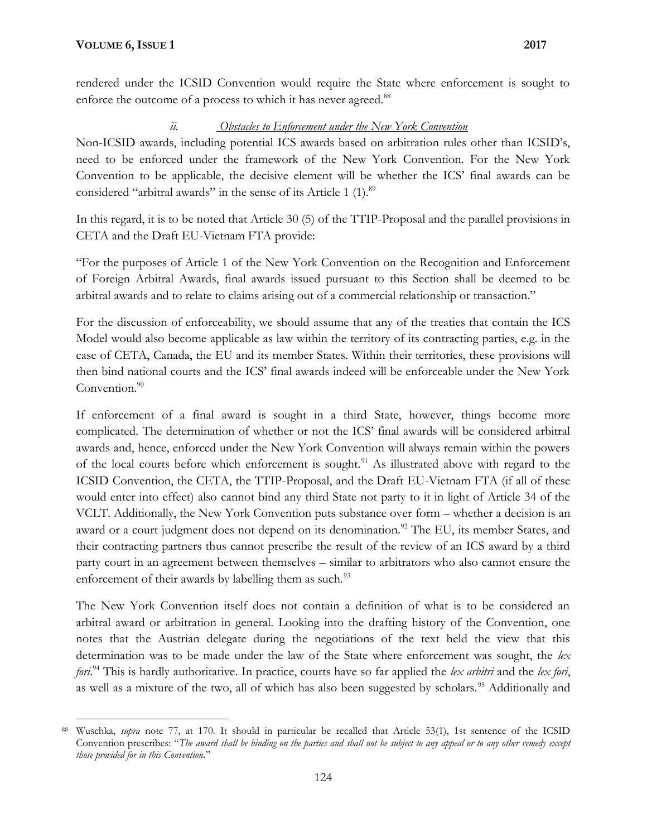rendered under the ICSID Convention would require the State where enforcement is sought to enforce the outcome of a process to which it has never agreed.<sup>88</sup>

## *ii. Obstacles to Enforcement under the New York Convention*

Non-ICSID awards, including potential ICS awards based on arbitration rules other than ICSID's, need to be enforced under the framework of the New York Convention. For the New York Convention to be applicable, the decisive element will be whether the ICS' final awards can be considered "arbitral awards" in the sense of its Article 1 (1).<sup>89</sup>

In this regard, it is to be noted that Article 30 (5) of the TTIP-Proposal and the parallel provisions in CETA and the Draft EU-Vietnam FTA provide:

"For the purposes of Article 1 of the New York Convention on the Recognition and Enforcement of Foreign Arbitral Awards, final awards issued pursuant to this Section shall be deemed to be arbitral awards and to relate to claims arising out of a commercial relationship or transaction."

For the discussion of enforceability, we should assume that any of the treaties that contain the ICS Model would also become applicable as law within the territory of its contracting parties, e.g. in the case of CETA, Canada, the EU and its member States. Within their territories, these provisions will then bind national courts and the ICS' final awards indeed will be enforceable under the New York Convention.<sup>90</sup>

If enforcement of a final award is sought in a third State, however, things become more complicated. The determination of whether or not the ICS' final awards will be considered arbitral awards and, hence, enforced under the New York Convention will always remain within the powers of the local courts before which enforcement is sought.<sup>91</sup> As illustrated above with regard to the ICSID Convention, the CETA, the TTIP-Proposal, and the Draft EU-Vietnam FTA (if all of these would enter into effect) also cannot bind any third State not party to it in light of Article 34 of the VCLT. Additionally, the New York Convention puts substance over form – whether a decision is an award or a court judgment does not depend on its denomination.<sup>92</sup> The EU, its member States, and their contracting partners thus cannot prescribe the result of the review of an ICS award by a third party court in an agreement between themselves – similar to arbitrators who also cannot ensure the enforcement of their awards by labelling them as such.<sup>93</sup>

The New York Convention itself does not contain a definition of what is to be considered an arbitral award or arbitration in general. Looking into the drafting history of the Convention, one notes that the Austrian delegate during the negotiations of the text held the view that this determination was to be made under the law of the State where enforcement was sought, the *lex fori*.<sup>94</sup> This is hardly authoritative. In practice, courts have so far applied the *lex arbitri* and the *lex fori*, as well as a mixture of the two, all of which has also been suggested by scholars.<sup>95</sup> Additionally and

<sup>88</sup> Wuschka, *supra* note 77, at 170. It should in particular be recalled that Article 53(1), 1st sentence of the ICSID Convention prescribes: "*The award shall be binding on the parties and shall not be subject to any appeal or to any other remedy except those provided for in this Convention*."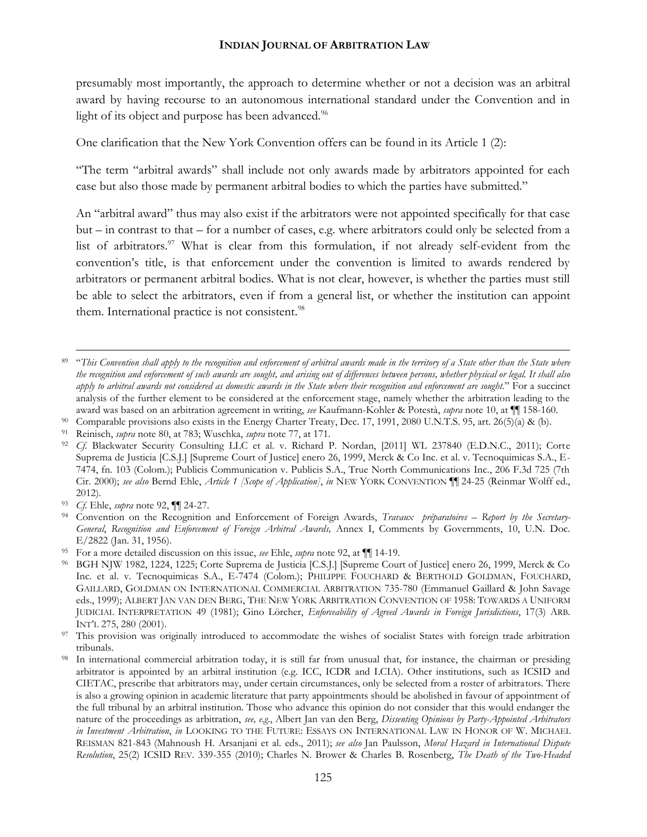presumably most importantly, the approach to determine whether or not a decision was an arbitral award by having recourse to an autonomous international standard under the Convention and in light of its object and purpose has been advanced.<sup>96</sup>

One clarification that the New York Convention offers can be found in its Article 1 (2):

"The term "arbitral awards" shall include not only awards made by arbitrators appointed for each case but also those made by permanent arbitral bodies to which the parties have submitted."

An "arbitral award" thus may also exist if the arbitrators were not appointed specifically for that case but – in contrast to that – for a number of cases, e.g. where arbitrators could only be selected from a list of arbitrators.<sup>97</sup> What is clear from this formulation, if not already self-evident from the convention's title, is that enforcement under the convention is limited to awards rendered by arbitrators or permanent arbitral bodies. What is not clear, however, is whether the parties must still be able to select the arbitrators, even if from a general list, or whether the institution can appoint them. International practice is not consistent.<sup>98</sup>

<sup>89</sup> "*This Convention shall apply to the recognition and enforcement of arbitral awards made in the territory of a State other than the State where the recognition and enforcement of such awards are sought, and arising out of differences between persons, whether physical or legal. It shall also apply to arbitral awards not considered as domestic awards in the State where their recognition and enforcement are sought.*" For a succinct analysis of the further element to be considered at the enforcement stage, namely whether the arbitration leading to the award was based on an arbitration agreement in writing, *see* Kaufmann-Kohler & Potestà, *supra* note 10, at ¶¶ 158-160.

Comparable provisions also exists in the Energy Charter Treaty, Dec. 17, 1991, 2080 U.N.T.S. 95, art. 26(5)(a) & (b).

<sup>91</sup> Reinisch, *supra* note 80, at 783; Wuschka, *supra* note 77, at 171.

<sup>92</sup> *Cf.* Blackwater Security Consulting LLC et al. v. Richard P. Nordan, [2011] WL 237840 (E.D.N.C., 2011); Corte Suprema de Justicia [C.S.J.] [Supreme Court of Justice] enero 26, 1999, Merck & Co Inc. et al. v. Tecnoquimicas S.A., E- 7474, fn. 103 (Colom.); Publicis Communication v. Publicis S.A., True North Communications Inc., 206 F.3d 725 (7th Cir. 2000); *see also* Bernd Ehle, *Article 1 [Scope of Application]*, *in* NEW YORK CONVENTION ¶¶ 24-25 (Reinmar Wolff ed., 2012).

<sup>93</sup> *Cf.* Ehle, *supra* note 92, ¶¶ 24-27.

<sup>94</sup> Convention on the Recognition and Enforcement of Foreign Awards, *Travaux préparatoires – Report by the Secretary- General*, *Recognition and Enforcement of Foreign Arbitral Awards,* Annex I, Comments by Governments, 10, U.N. Doc. E/2822 (Jan. 31, 1956).

<sup>95</sup> For a more detailed discussion on this issue, *see* Ehle, *supra* note 92, at ¶¶ 14-19.

<sup>96</sup> BGH NJW 1982, 1224, 1225; Corte Suprema de Justicia [C.S.J.] [Supreme Court of Justice] enero 26, 1999, Merck & Co Inc. et al. v. Tecnoquimicas S.A., E-7474 (Colom.); PHILIPPE FOUCHARD & BERTHOLD GOLDMAN, FOUCHARD, GAILLARD, GOLDMAN ON INTERNATIONAL COMMERCIAL ARBITRATION 735-780 (Emmanuel Gaillard & John Savage eds., 1999); ALBERT JAN VAN DEN BERG, THE NEW YORK ARBITRATION CONVENTION OF 1958: TOWARDS A UNIFORM JUDICIAL INTERPRETATION 49 (1981); Gino Lörcher, *Enforceability of Agreed Awards in Foreign Jurisdictions*, 17(3) ARB. INT'L 275, 280 (2001).

<sup>&</sup>lt;sup>97</sup> This provision was originally introduced to accommodate the wishes of socialist States with foreign trade arbitration tribunals.

<sup>98</sup> In international commercial arbitration today, it is still far from unusual that, for instance, the chairman or presiding arbitrator is appointed by an arbitral institution (e.g. ICC, ICDR and LCIA). Other institutions, such as ICSID and CIETAC, prescribe that arbitrators may, under certain circumstances, only be selected from a roster of arbitrators. There is also a growing opinion in academic literature that party appointments should be abolished in favour of appointment of the full tribunal by an arbitral institution. Those who advance this opinion do not consider that this would endanger the nature of the proceedings as arbitration, *see, e.g*., Albert Jan van den Berg, *Dissenting Opinions by Party-Appointed Arbitrators in Investment Arbitration*, *in* LOOKING TO THE FUTURE: ESSAYS ON INTERNATIONAL LAW IN HONOR OF W. MICHAEL REISMAN 821-843 (Mahnoush H. Arsanjani et al. eds., 2011); *see also* Jan Paulsson, *Moral Hazard in International Dispute Resolution*, 25(2) ICSID REV. 339-355 (2010); Charles N. Brower & Charles B. Rosenberg, *The Death of the Two-Headed*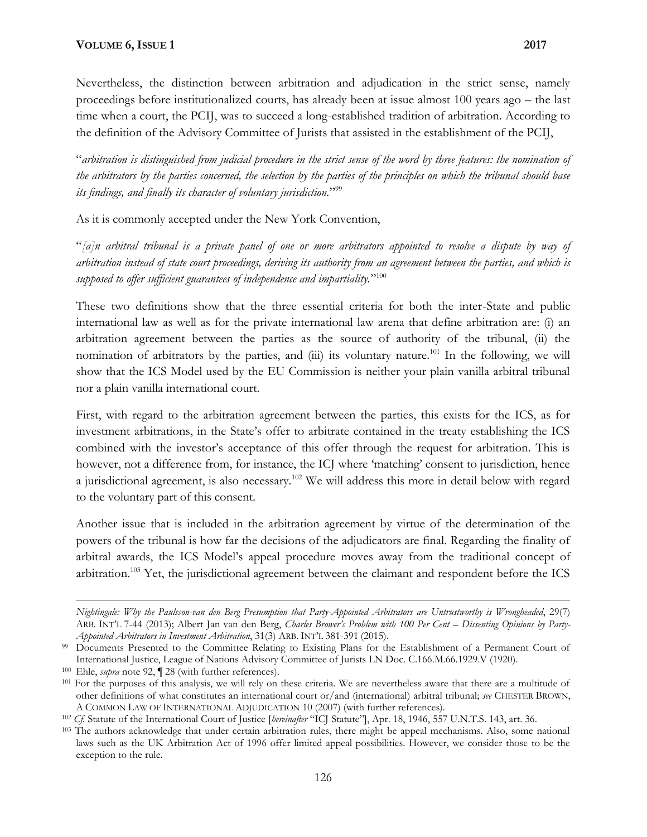Nevertheless, the distinction between arbitration and adjudication in the strict sense, namely proceedings before institutionalized courts, has already been at issue almost 100 years ago – the last time when a court, the PCIJ, was to succeed a long-established tradition of arbitration. According to the definition of the Advisory Committee of Jurists that assisted in the establishment of the PCIJ,

"*arbitration is distinguished from judicial procedure in the strict sense of the word by three features: the nomination of the arbitrators by the parties concerned, the selection by the parties of the principles on which the tribunal should base its findings, and finally its character of voluntary jurisdiction.*" 99

As it is commonly accepted under the New York Convention,

"*[a]n arbitral tribunal is a private panel of one or more arbitrators appointed to resolve a dispute by way of arbitration instead of state court proceedings, deriving its authority from an agreement between the parties, and which is supposed to offer sufficient guarantees of independence and impartiality.*" 100

These two definitions show that the three essential criteria for both the inter-State and public international law as well as for the private international law arena that define arbitration are: (i) an arbitration agreement between the parties as the source of authority of the tribunal, (ii) the nomination of arbitrators by the parties, and (iii) its voluntary nature.<sup>101</sup> In the following, we will show that the ICS Model used by the EU Commission is neither your plain vanilla arbitral tribunal nor a plain vanilla international court.

First, with regard to the arbitration agreement between the parties, this exists for the ICS, as for investment arbitrations, in the State's offer to arbitrate contained in the treaty establishing the ICS combined with the investor's acceptance of this offer through the request for arbitration. This is however, not a difference from, for instance, the ICJ where 'matching' consent to jurisdiction, hence a jurisdictional agreement, is also necessary.<sup>102</sup> We will address this more in detail below with regard to the voluntary part of this consent.

Another issue that is included in the arbitration agreement by virtue of the determination of the powers of the tribunal is how far the decisions of the adjudicators are final. Regarding the finality of arbitral awards, the ICS Model's appeal procedure moves away from the traditional concept of arbitration.<sup>103</sup> Yet, the jurisdictional agreement between the claimant and respondent before the ICS

*Nightingale: Why the Paulsson-van den Berg Presumption that Party-Appointed Arbitrators are Untrustworthy is Wrongheaded*, 29(7) ARB. INT'L 7-44 (2013); Albert Jan van den Berg, *Charles Brower's Problem with 100 Per Cent – Dissenting Opinions by Party- Appointed Arbitrators in Investment Arbitration*, 31(3) ARB. INT'L 381-391 (2015).

<sup>&</sup>lt;sup>99</sup> Documents Presented to the Committee Relating to Existing Plans for the Establishment of a Permanent Court of International Justice, League of Nations Advisory Committee of Jurists LN Doc. C.166.M.66.1929.V (1920).

<sup>100</sup> Ehle, *supra* note 92, ¶ 28 (with further references).

<sup>&</sup>lt;sup>101</sup> For the purposes of this analysis, we will rely on these criteria. We are nevertheless aware that there are a multitude of other definitions of what constitutes an international court or/and (international) arbitral tribunal; *see* CHESTER BROWN, A COMMON LAW OF INTERNATIONAL ADJUDICATION 10 (2007) (with further references).

<sup>102</sup> *Cf.* Statute of the International Court of Justice [*hereinafter* "ICJ Statute"], Apr. 18, 1946, 557 U.N.T.S. 143, art. 36.

<sup>103</sup> The authors acknowledge that under certain arbitration rules, there might be appeal mechanisms. Also, some national laws such as the UK Arbitration Act of 1996 offer limited appeal possibilities. However, we consider those to be the exception to the rule.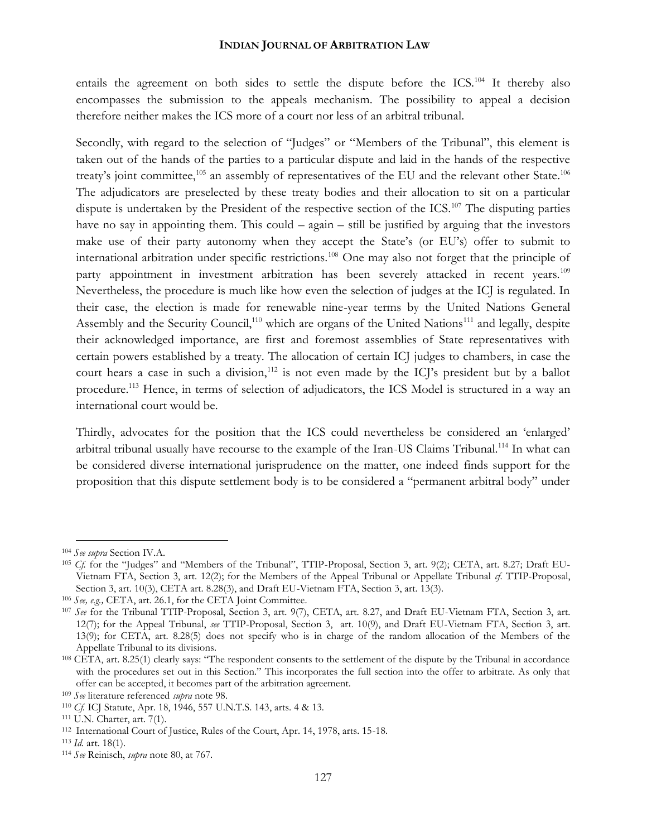entails the agreement on both sides to settle the dispute before the ICS.<sup>104</sup> It thereby also encompasses the submission to the appeals mechanism. The possibility to appeal a decision therefore neither makes the ICS more of a court nor less of an arbitral tribunal.

Secondly, with regard to the selection of "Judges" or "Members of the Tribunal", this element is taken out of the hands of the parties to a particular dispute and laid in the hands of the respective treaty's joint committee,<sup>105</sup> an assembly of representatives of the EU and the relevant other State.<sup>106</sup> The adjudicators are preselected by these treaty bodies and their allocation to sit on a particular dispute is undertaken by the President of the respective section of the ICS.<sup>107</sup> The disputing parties have no say in appointing them. This could – again – still be justified by arguing that the investors make use of their party autonomy when they accept the State's (or EU's) offer to submit to international arbitration under specific restrictions.<sup>108</sup> One may also not forget that the principle of party appointment in investment arbitration has been severely attacked in recent years.<sup>109</sup> Nevertheless, the procedure is much like how even the selection of judges at the ICJ is regulated. In their case, the election is made for renewable nine-year terms by the United Nations General Assembly and the Security Council,<sup>110</sup> which are organs of the United Nations<sup>111</sup> and legally, despite their acknowledged importance, are first and foremost assemblies of State representatives with certain powers established by a treaty. The allocation of certain ICJ judges to chambers, in case the court hears a case in such a division,<sup>112</sup> is not even made by the ICJ's president but by a ballot procedure.<sup>113</sup> Hence, in terms of selection of adjudicators, the ICS Model is structured in a way an international court would be.

Thirdly, advocates for the position that the ICS could nevertheless be considered an 'enlarged' arbitral tribunal usually have recourse to the example of the Iran-US Claims Tribunal.<sup>114</sup> In what can be considered diverse international jurisprudence on the matter, one indeed finds support for the proposition that this dispute settlement body is to be considered a "permanent arbitral body" under

<sup>104</sup> *See supra* Section IV.A.

<sup>105</sup> Cf. for the "Judges" and "Members of the Tribunal", TTIP-Proposal, Section 3, art. 9(2); CETA, art. 8.27; Draft EU-Vietnam FTA, Section 3, art. 12(2); for the Members of the Appeal Tribunal or Appellate Tribunal *cf*. TTIP-Proposal, Section 3, art. 10(3), CETA art. 8.28(3), and Draft EU-Vietnam FTA, Section 3, art. 13(3).

<sup>106</sup> *See, e.g.,* CETA, art. 26.1, for the CETA Joint Committee.

<sup>107</sup> *See* for the Tribunal TTIP-Proposal, Section 3, art. 9(7), CETA, art. 8.27, and Draft EU-Vietnam FTA, Section 3, art. 12(7); for the Appeal Tribunal, *see* TTIP-Proposal, Section 3, art. 10(9), and Draft EU-Vietnam FTA, Section 3, art. 13(9); for CETA, art. 8.28(5) does not specify who is in charge of the random allocation of the Members of the Appellate Tribunal to its divisions.

<sup>108</sup> CETA, art. 8.25(1) clearly says: "The respondent consents to the settlement of the dispute by the Tribunal in accordance with the procedures set out in this Section." This incorporates the full section into the offer to arbitrate. As only that offer can be accepted, it becomes part of the arbitration agreement.

<sup>109</sup> *See* literature referenced *supra* note 98.

<sup>110</sup> *Cf.* ICJ Statute, Apr. 18, 1946, 557 U.N.T.S. 143, arts. 4 & 13.

<sup>111</sup> U.N. Charter, art. 7(1).

<sup>112</sup> International Court of Justice, Rules of the Court, Apr. 14, 1978, arts. 15-18.

<sup>113</sup> *Id.* art. 18(1).

<sup>114</sup> *See* Reinisch, *supra* note 80, at 767.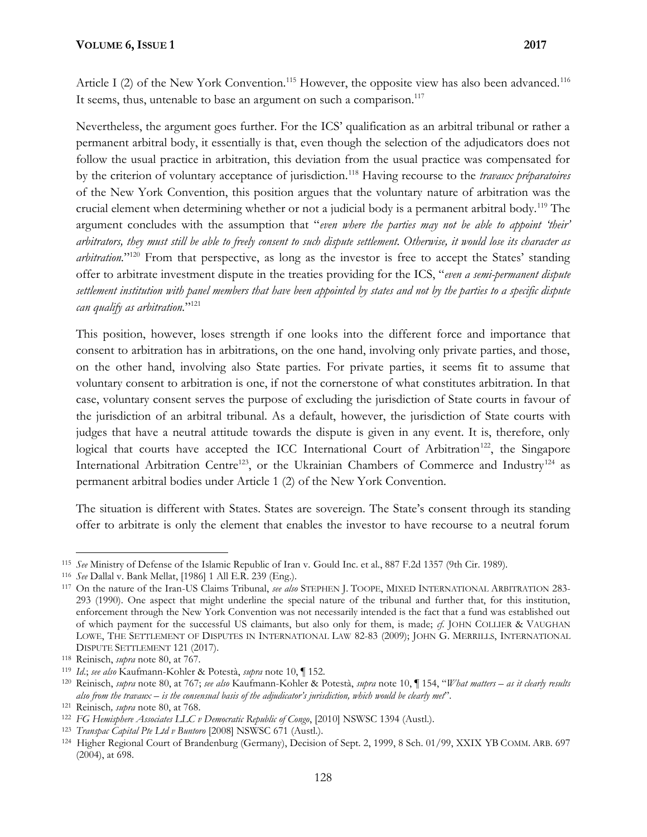Article I (2) of the New York Convention.<sup>115</sup> However, the opposite view has also been advanced.<sup>116</sup> It seems, thus, untenable to base an argument on such a comparison.<sup>117</sup>

Nevertheless, the argument goes further. For the ICS' qualification as an arbitral tribunal or rather a permanent arbitral body, it essentially is that, even though the selection of the adjudicators does not follow the usual practice in arbitration, this deviation from the usual practice was compensated for by the criterion of voluntary acceptance of jurisdiction.<sup>118</sup> Having recourse to the *travaux préparatoires* of the New York Convention, this position argues that the voluntary nature of arbitration was the crucial element when determining whether or not a judicial body is a permanent arbitral body.<sup>119</sup> The argument concludes with the assumption that "*even where the parties may not be able to appoint 'their' arbitrators, they must still be able to freely consent to such dispute settlement. Otherwise, it would lose its character as arbitration.*" <sup>120</sup> From that perspective, as long as the investor is free to accept the States' standing offer to arbitrate investment dispute in the treaties providing for the ICS, "*even a semi-permanent dispute settlement institution with panel members that have been appointed by states and not by the parties to a specific dispute can qualify as arbitration.*" 121

This position, however, loses strength if one looks into the different force and importance that consent to arbitration has in arbitrations, on the one hand, involving only private parties, and those, on the other hand, involving also State parties. For private parties, it seems fit to assume that voluntary consent to arbitration is one, if not the cornerstone of what constitutes arbitration. In that case, voluntary consent serves the purpose of excluding the jurisdiction of State courts in favour of the jurisdiction of an arbitral tribunal. As a default, however, the jurisdiction of State courts with judges that have a neutral attitude towards the dispute is given in any event. It is, therefore, only logical that courts have accepted the ICC International Court of Arbitration<sup>122</sup>, the Singapore International Arbitration Centre<sup>123</sup>, or the Ukrainian Chambers of Commerce and Industry<sup>124</sup> as permanent arbitral bodies under Article 1 (2) of the New York Convention.

The situation is different with States. States are sovereign. The State's consent through its standing offer to arbitrate is only the element that enables the investor to have recourse to a neutral forum

<sup>115</sup> *See* Ministry of Defense of the Islamic Republic of Iran v. Gould Inc. et al*.*, 887 F.2d 1357 (9th Cir. 1989).

<sup>116</sup> *See* Dallal v. Bank Mellat, [1986] 1 All E.R. 239 (Eng.).

<sup>117</sup> On the nature of the Iran-US Claims Tribunal, *see also* STEPHEN J. TOOPE, MIXED INTERNATIONAL ARBITRATION 283- 293 (1990). One aspect that might underline the special nature of the tribunal and further that, for this institution, enforcement through the New York Convention was not necessarily intended is the fact that a fund was established out of which payment for the successful US claimants, but also only for them, is made; *cf*. JOHN COLLIER & VAUGHAN LOWE, THE SETTLEMENT OF DISPUTES IN INTERNATIONAL LAW 82-83 (2009); JOHN G. MERRILLS, INTERNATIONAL DISPUTE SETTLEMENT 121 (2017).

<sup>118</sup> Reinisch, *supra* note 80, at 767.

<sup>119</sup> *Id*.; *see also* Kaufmann-Kohler & Potestà, *supra* note 10, ¶ 152.

<sup>120</sup> Reinisch, *supra* note 80, at 767; *see also* Kaufmann-Kohler & Potestà, *supra* note 10, ¶ 154, "*What matters – as it clearly results also from the travaux – is the consensual basis of the adjudicator's jurisdiction, which would be clearly met*".

<sup>121</sup> Reinisch*, supra* note 80, at 768.

<sup>122</sup> *FG Hemisphere Associates LLC v Democratic Republic of Congo*, [2010] NSWSC 1394 (Austl.).

<sup>123</sup> *Transpac Capital Pte Ltd v Buntoro* [2008] NSWSC 671 (Austl.).

<sup>124</sup> Higher Regional Court of Brandenburg (Germany), Decision of Sept. 2, 1999, 8 Sch. 01/99, XXIX YB COMM. ARB. 697 (2004), at 698.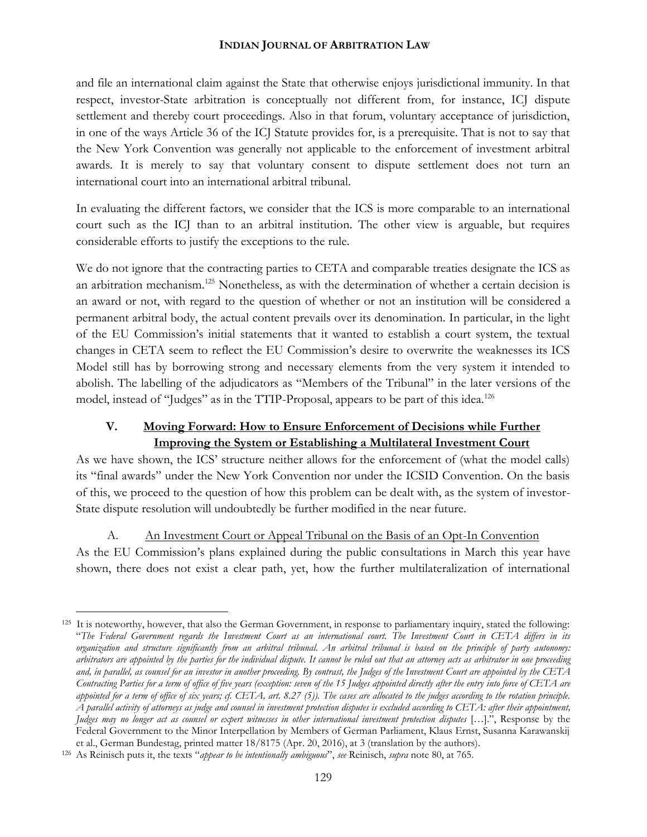and file an international claim against the State that otherwise enjoys jurisdictional immunity. In that respect, investor-State arbitration is conceptually not different from, for instance, ICJ dispute settlement and thereby court proceedings. Also in that forum, voluntary acceptance of jurisdiction, in one of the ways Article 36 of the ICJ Statute provides for, is a prerequisite. That is not to say that the New York Convention was generally not applicable to the enforcement of investment arbitral awards. It is merely to say that voluntary consent to dispute settlement does not turn an international court into an international arbitral tribunal.

In evaluating the different factors, we consider that the ICS is more comparable to an international court such as the ICJ than to an arbitral institution. The other view is arguable, but requires considerable efforts to justify the exceptions to the rule.

We do not ignore that the contracting parties to CETA and comparable treaties designate the ICS as an arbitration mechanism.<sup>125</sup> Nonetheless, as with the determination of whether a certain decision is an award or not, with regard to the question of whether or not an institution will be considered a permanent arbitral body, the actual content prevails over its denomination. In particular, in the light of the EU Commission's initial statements that it wanted to establish a court system, the textual changes in CETA seem to reflect the EU Commission's desire to overwrite the weaknesses its ICS Model still has by borrowing strong and necessary elements from the very system it intended to abolish. The labelling of the adjudicators as "Members of the Tribunal" in the later versions of the model, instead of "Judges" as in the TTIP-Proposal, appears to be part of this idea.<sup>126</sup>

# **V. Moving Forward: How to Ensure Enforcement of Decisions while Further Improving the System or Establishing a Multilateral Investment Court**

As we have shown, the ICS' structure neither allows for the enforcement of (what the model calls) its "final awards" under the New York Convention nor under the ICSID Convention. On the basis of this, we proceed to the question of how this problem can be dealt with, as the system of investor- State dispute resolution will undoubtedly be further modified in the near future.

A. An Investment Court or Appeal Tribunal on the Basis of an Opt-In Convention As the EU Commission's plans explained during the public consultations in March this year have shown, there does not exist a clear path, yet, how the further multilateralization of international

<sup>&</sup>lt;sup>125</sup> It is noteworthy, however, that also the German Government, in response to parliamentary inquiry, stated the following: "*The Federal Government regards the Investment Court as an international court. The Investment Court in CETA differs in its organization and structure significantly from an arbitral tribunal. An arbitral tribunal is based on the principle of party autonomy: arbitrators are appointed by the parties for the individual dispute. It cannot be ruled out that an attorney acts as arbitrator in one proceeding and, in parallel, as counsel for an investor in another proceeding. By contrast, the Judges of the Investment Court are appointed by the CETA Contracting Parties for a term of office of five years (exception: seven of the 15 Judges appointed directly after the entry into force of CETA are appointed for a term of office of six years; cf. CETA, art. 8.27 (5)). The cases are allocated to the judges according to the rotation principle. A parallel activity of attorneys as judge and counsel in investment protection disputes is excluded according to CETA: after their appointment, Judges may no longer act as counsel or expert witnesses in other international investment protection disputes* […].", Response by the Federal Government to the Minor Interpellation by Members of German Parliament, Klaus Ernst, Susanna Karawanskij et al., German Bundestag, printed matter 18/8175 (Apr. 20, 2016), at 3 (translation by the authors).

<sup>126</sup> As Reinisch puts it, the texts "*appear to be intentionally ambiguous*", *see* Reinisch, *supra* note 80, at 765.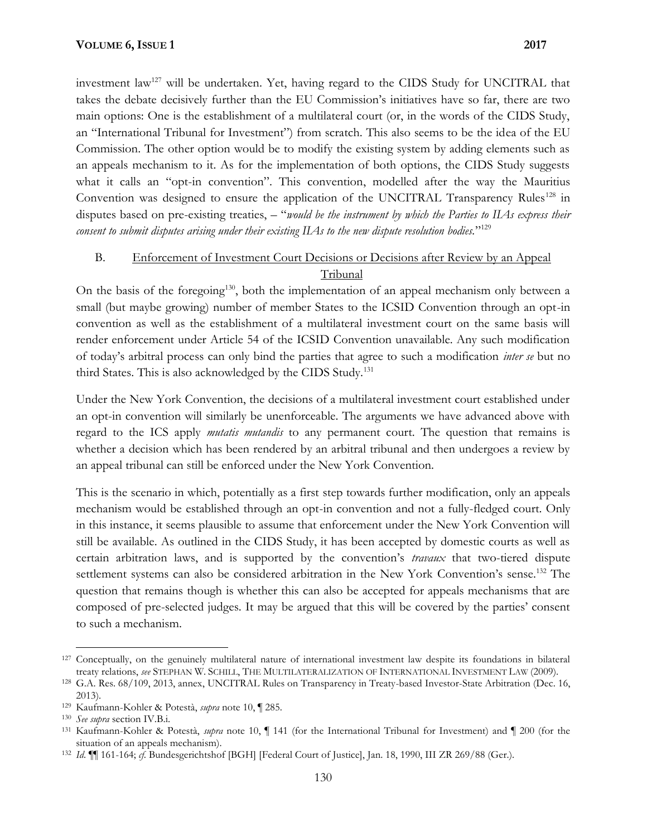investment law<sup>127</sup> will be undertaken. Yet, having regard to the CIDS Study for UNCITRAL that takes the debate decisively further than the EU Commission's initiatives have so far, there are two main options: One is the establishment of a multilateral court (or, in the words of the CIDS Study, an "International Tribunal for Investment") from scratch. This also seems to be the idea of the EU Commission. The other option would be to modify the existing system by adding elements such as an appeals mechanism to it. As for the implementation of both options, the CIDS Study suggests what it calls an "opt-in convention". This convention, modelled after the way the Mauritius Convention was designed to ensure the application of the UNCITRAL Transparency Rules<sup>128</sup> in disputes based on pre-existing treaties, – "*would be the instrument by which the Parties to IIAs express their consent to submit disputes arising under their existing IIAs to the new dispute resolution bodies.*" 129

## B. Enforcement of Investment Court Decisions or Decisions after Review by an Appeal Tribunal

On the basis of the foregoing<sup>130</sup>, both the implementation of an appeal mechanism only between a small (but maybe growing) number of member States to the ICSID Convention through an opt-in convention as well as the establishment of a multilateral investment court on the same basis will render enforcement under Article 54 of the ICSID Convention unavailable. Any such modification of today's arbitral process can only bind the parties that agree to such a modification *inter se* but no third States. This is also acknowledged by the CIDS Study.<sup>131</sup>

Under the New York Convention, the decisions of a multilateral investment court established under an opt-in convention will similarly be unenforceable. The arguments we have advanced above with regard to the ICS apply *mutatis mutandis* to any permanent court. The question that remains is whether a decision which has been rendered by an arbitral tribunal and then undergoes a review by an appeal tribunal can still be enforced under the New York Convention.

This is the scenario in which, potentially as a first step towards further modification, only an appeals mechanism would be established through an opt-in convention and not a fully-fledged court. Only in this instance, it seems plausible to assume that enforcement under the New York Convention will still be available. As outlined in the CIDS Study, it has been accepted by domestic courts as well as certain arbitration laws, and is supported by the convention's *travaux* that two-tiered dispute settlement systems can also be considered arbitration in the New York Convention's sense.<sup>132</sup> The question that remains though is whether this can also be accepted for appeals mechanisms that are composed of pre-selected judges. It may be argued that this will be covered by the parties' consent to such a mechanism.

<sup>&</sup>lt;sup>127</sup> Conceptually, on the genuinely multilateral nature of international investment law despite its foundations in bilateral treaty relations, *see* STEPHAN W. SCHILL, THE MULTILATERALIZATION OF INTERNATIONAL INVESTMENT LAW (2009).

<sup>128</sup> G.A. Res. 68/109, 2013, annex, UNCITRAL Rules on Transparency in Treaty-based Investor-State Arbitration (Dec. 16, 2013).

<sup>129</sup> Kaufmann-Kohler & Potestà, *supra* note 10, ¶ 285.

<sup>130</sup> *See supra* section IV.B.i.

<sup>131</sup> Kaufmann-Kohler & Potestà, *supra* note 10, ¶ 141 (for the International Tribunal for Investment) and ¶ 200 (for the situation of an appeals mechanism).

<sup>132</sup> *Id*. ¶¶ 161-164; *cf*. Bundesgerichtshof [BGH] [Federal Court of Justice], Jan. 18, 1990, III ZR 269/88 (Ger.).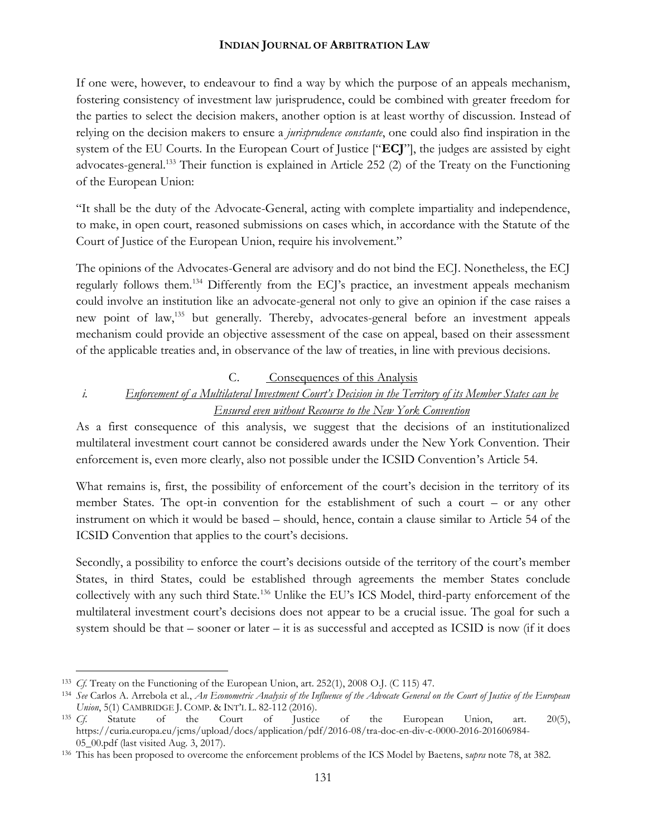If one were, however, to endeavour to find a way by which the purpose of an appeals mechanism, fostering consistency of investment law jurisprudence, could be combined with greater freedom for the parties to select the decision makers, another option is at least worthy of discussion. Instead of relying on the decision makers to ensure a *jurisprudence constante*, one could also find inspiration in the system of the EU Courts. In the European Court of Justice ["**ECJ**"], the judges are assisted by eight advocates-general.<sup>133</sup> Their function is explained in Article 252 (2) of the Treaty on the Functioning of the European Union:

"It shall be the duty of the Advocate-General, acting with complete impartiality and independence, to make, in open court, reasoned submissions on cases which, in accordance with the Statute of the Court of Justice of the European Union, require his involvement."

The opinions of the Advocates-General are advisory and do not bind the ECJ. Nonetheless, the ECJ regularly follows them.<sup>134</sup> Differently from the ECJ's practice, an investment appeals mechanism could involve an institution like an advocate-general not only to give an opinion if the case raises a new point of law,<sup>135</sup> but generally. Thereby, advocates-general before an investment appeals mechanism could provide an objective assessment of the case on appeal, based on their assessment of the applicable treaties and, in observance of the law of treaties, in line with previous decisions.

## C. Consequences of this Analysis

# *i. Enforcement of a Multilateral Investment Court's Decision in the Territory of its Member States can be Ensured even without Recourse to the New York Convention*

As a first consequence of this analysis, we suggest that the decisions of an institutionalized multilateral investment court cannot be considered awards under the New York Convention. Their enforcement is, even more clearly, also not possible under the ICSID Convention's Article 54.

What remains is, first, the possibility of enforcement of the court's decision in the territory of its member States. The opt-in convention for the establishment of such a court – or any other instrument on which it would be based – should, hence, contain a clause similar to Article 54 of the ICSID Convention that applies to the court's decisions.

Secondly, a possibility to enforce the court's decisions outside of the territory of the court's member States, in third States, could be established through agreements the member States conclude collectively with any such third State.<sup>136</sup> Unlike the EU's ICS Model, third-party enforcement of the multilateral investment court's decisions does not appear to be a crucial issue. The goal for such a system should be that – sooner or later – it is as successful and accepted as ICSID is now (if it does

<sup>133</sup> *Cf.* Treaty on the Functioning of the European Union, art. 252(1), 2008 O.J. (C 115) 47.

<sup>134</sup> *See* Carlos A. Arrebola et al., *An Econometric Analysis of the Influence of the Advocate General on the Court of Justice of the European Union*, 5(1) CAMBRIDGE J. COMP. & INT'L L. 82-112 (2016).<br><sup>135</sup> *Cf.* Statute of the Court of Justice

<sup>135</sup> *Cf*. Statute of the Court of Justice of the European Union, art. 20(5), https://curia.europa.eu/jcms/upload/docs/application/pdf/2016-08/tra-doc-en-div-c-0000-2016-201606984- 05\_00.pdf (last visited Aug. 3, 2017).

<sup>136</sup> This has been proposed to overcome the enforcement problems of the ICS Model by Baetens, s*upra* note 78, at 382.